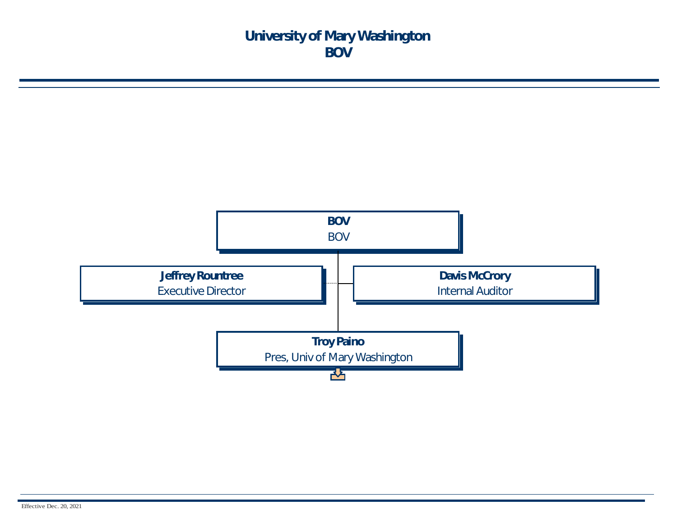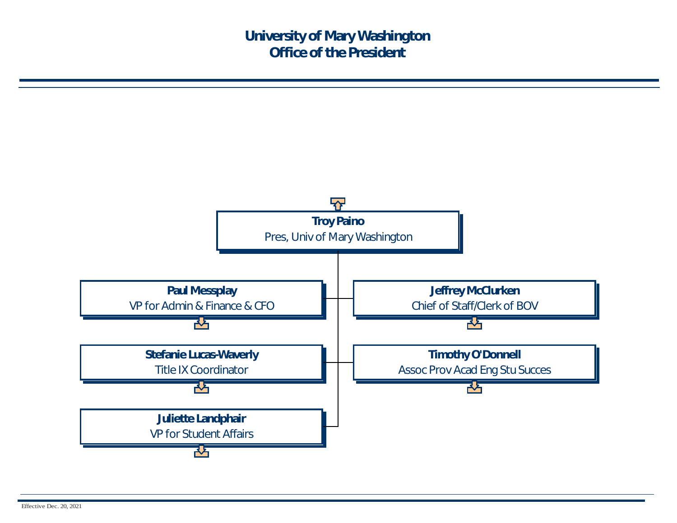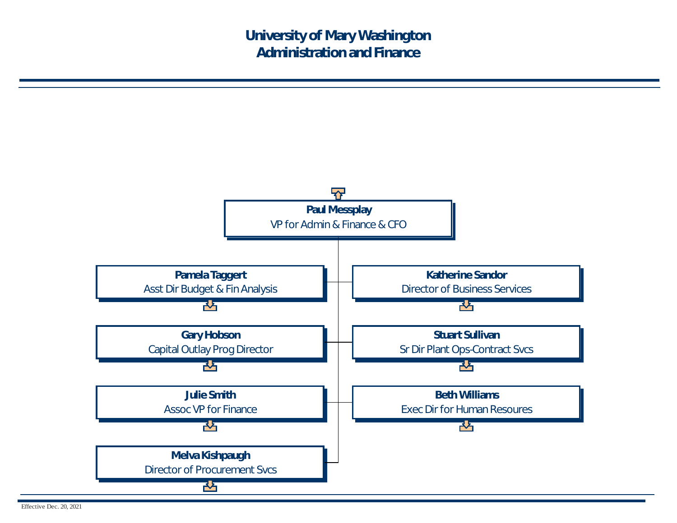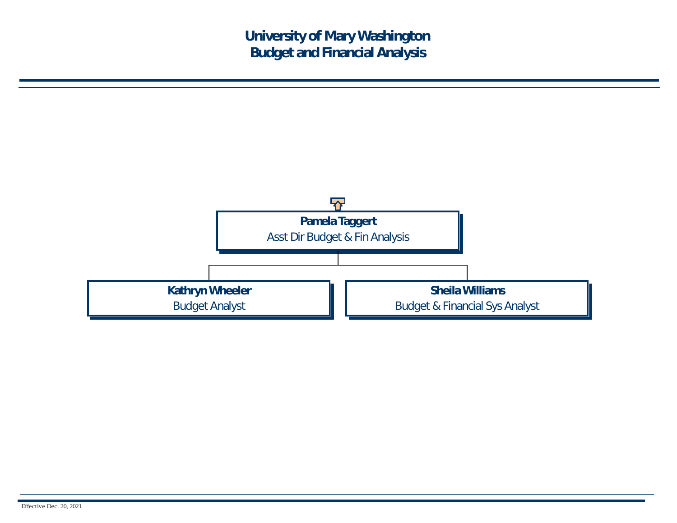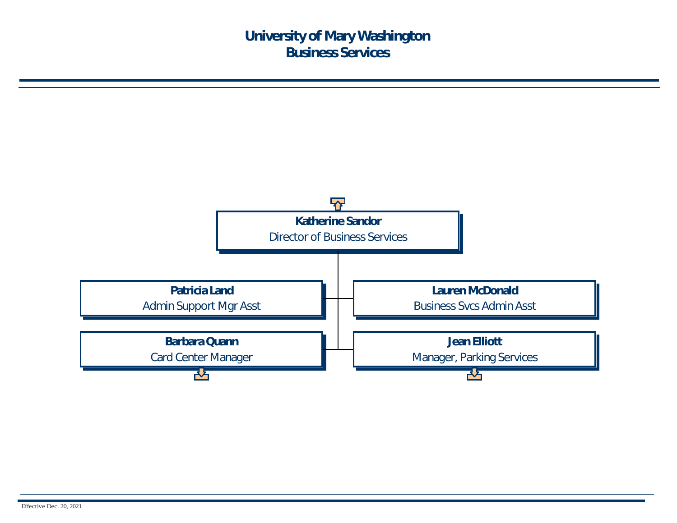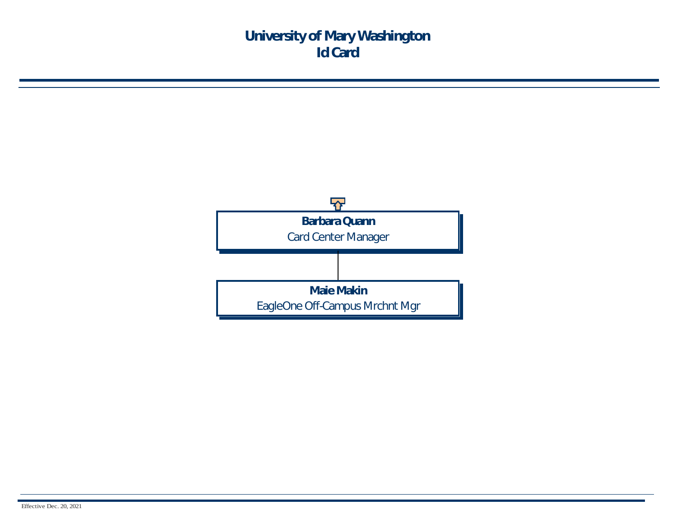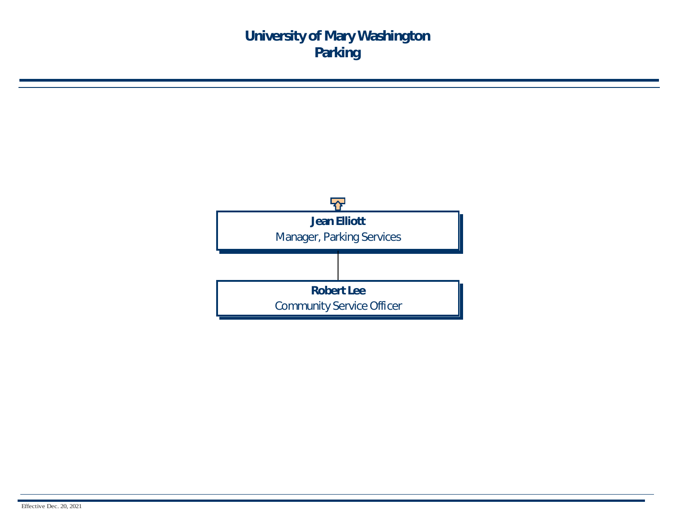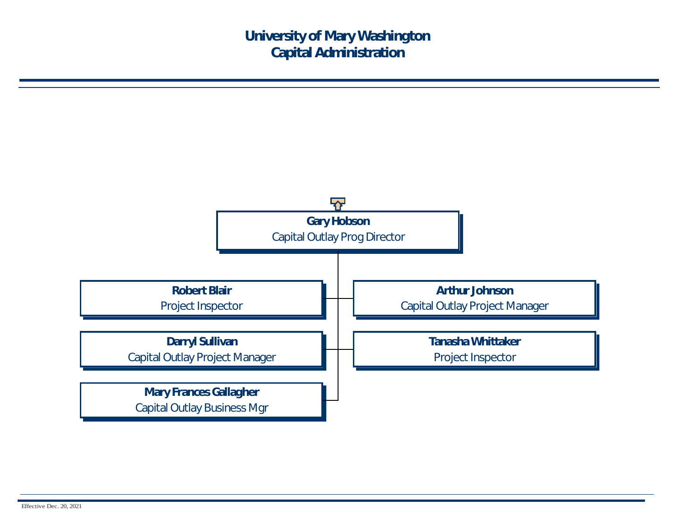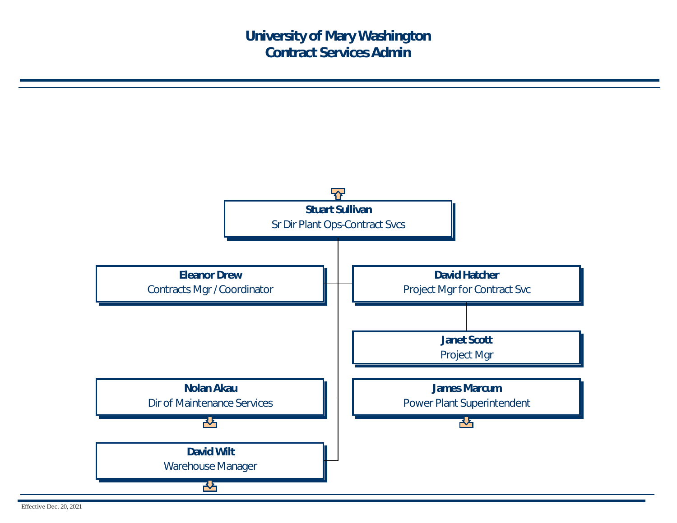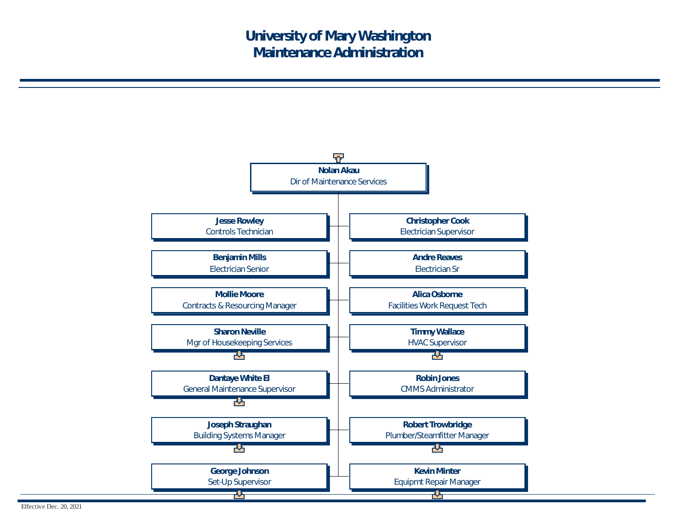

Effective Dec. 20, 2021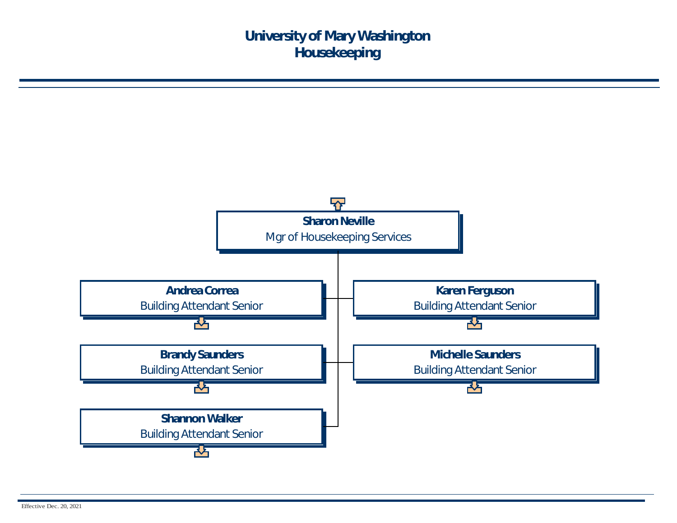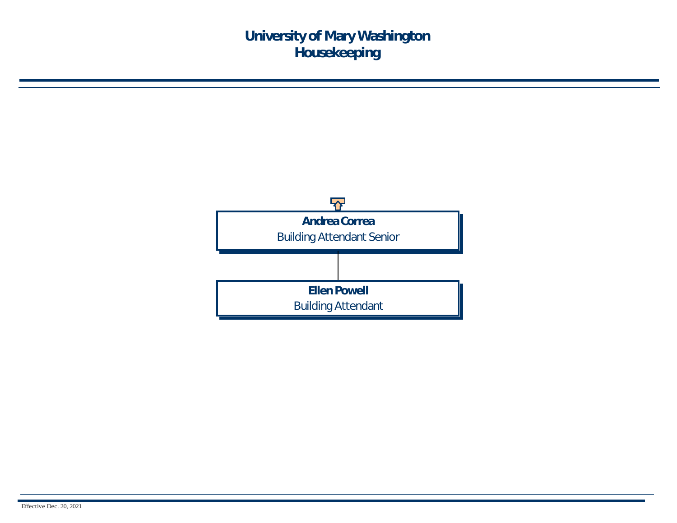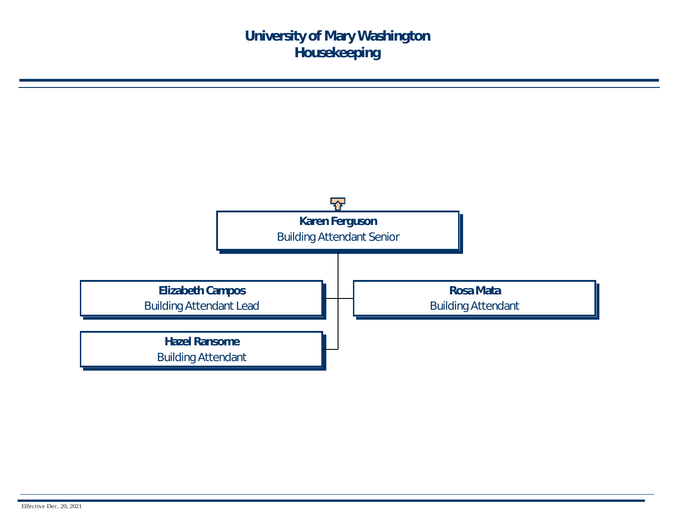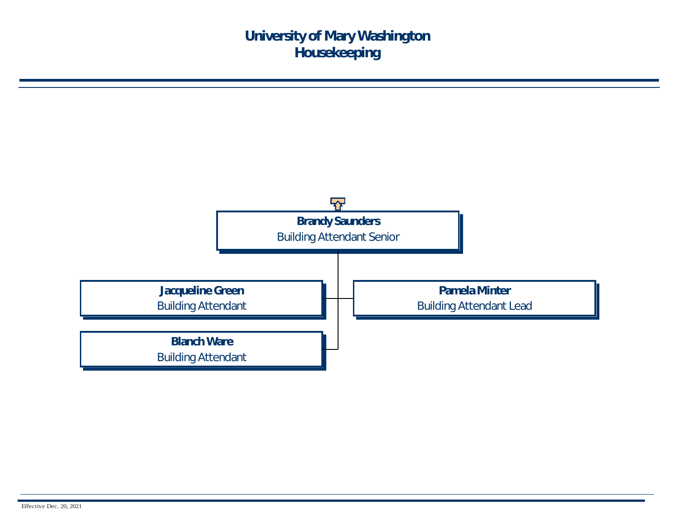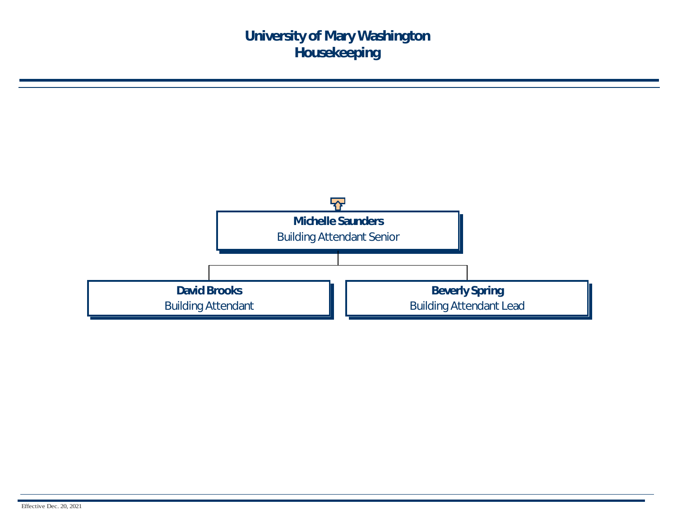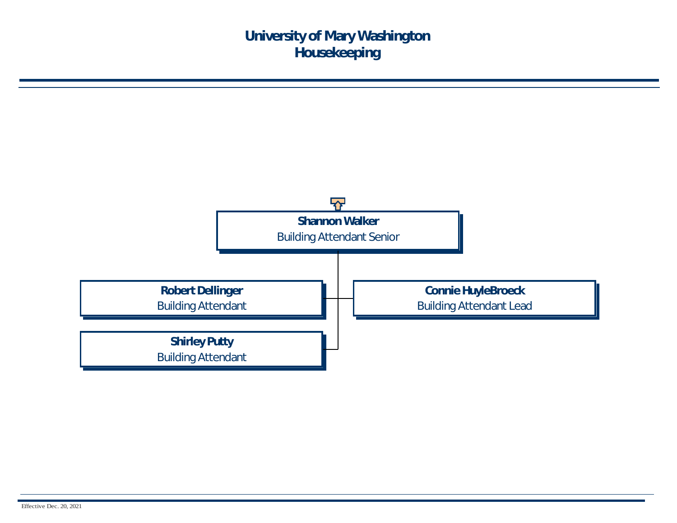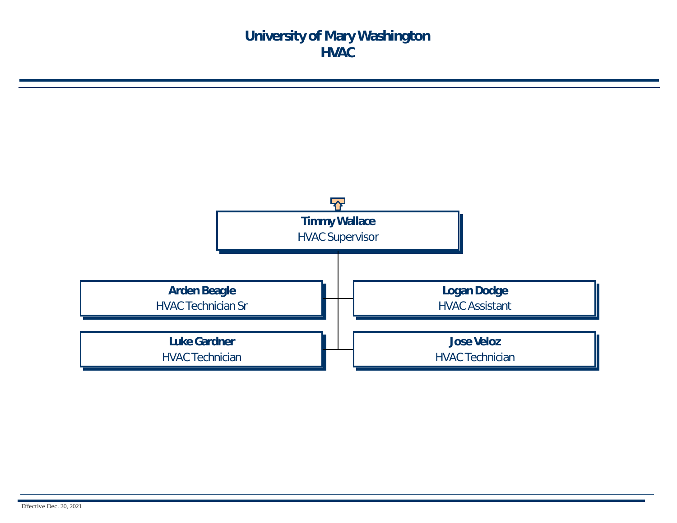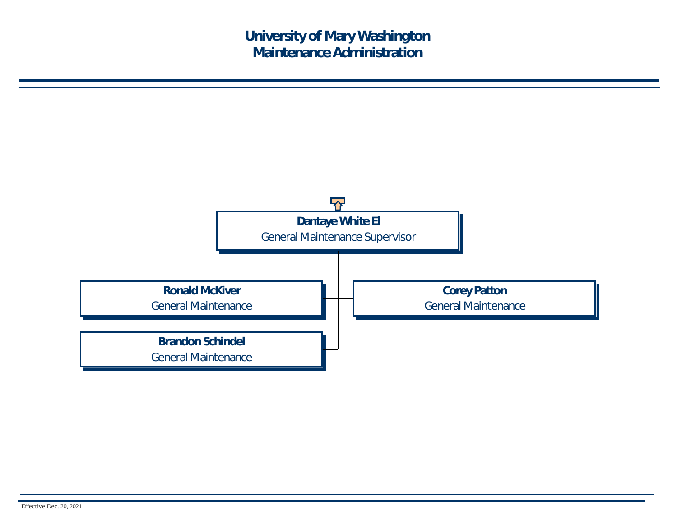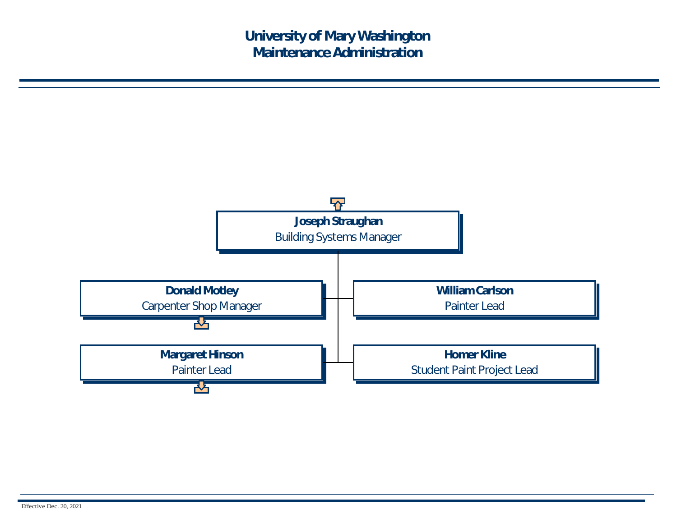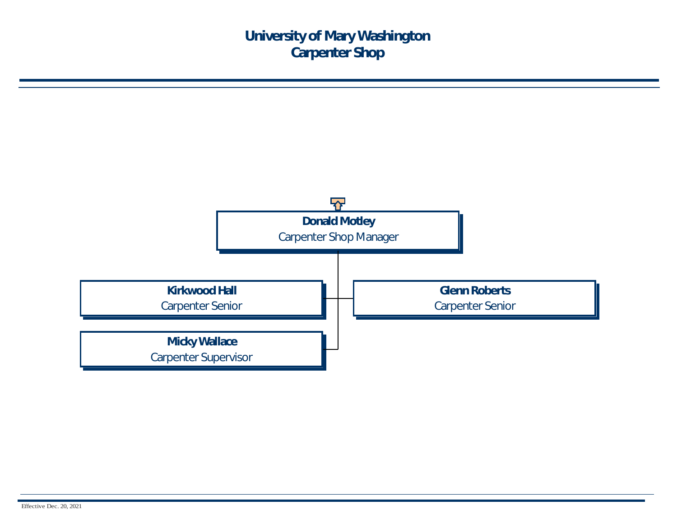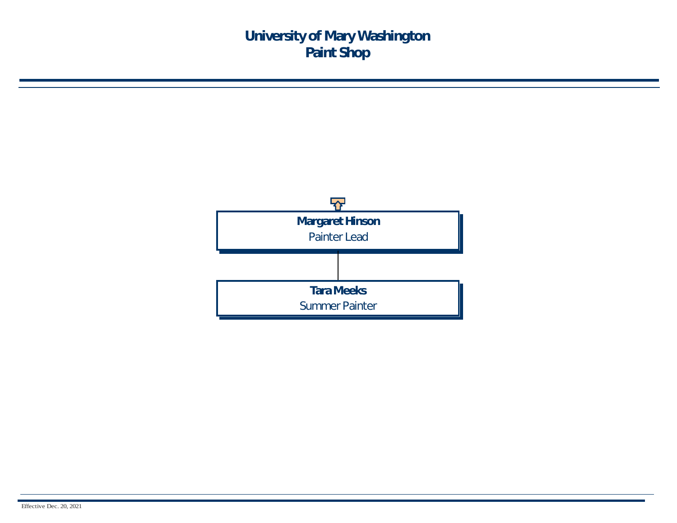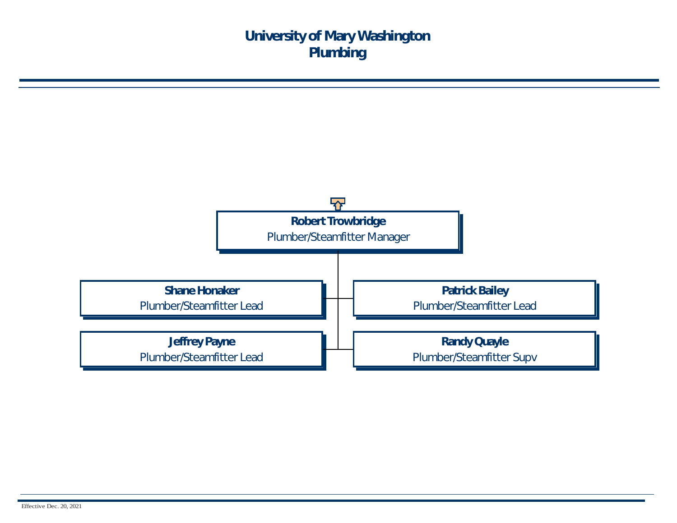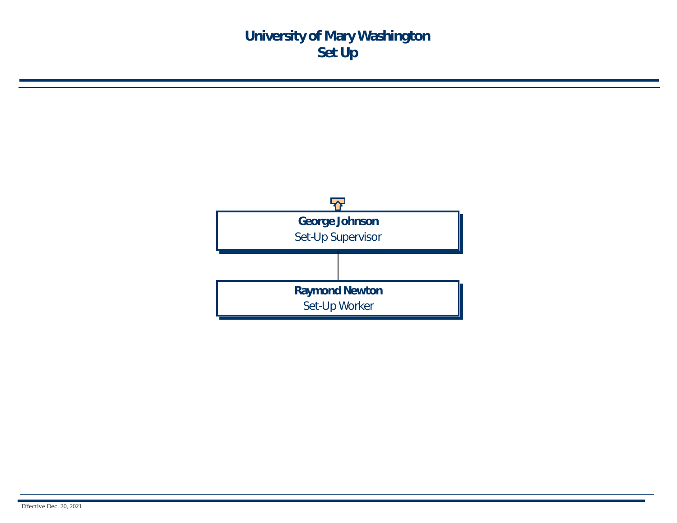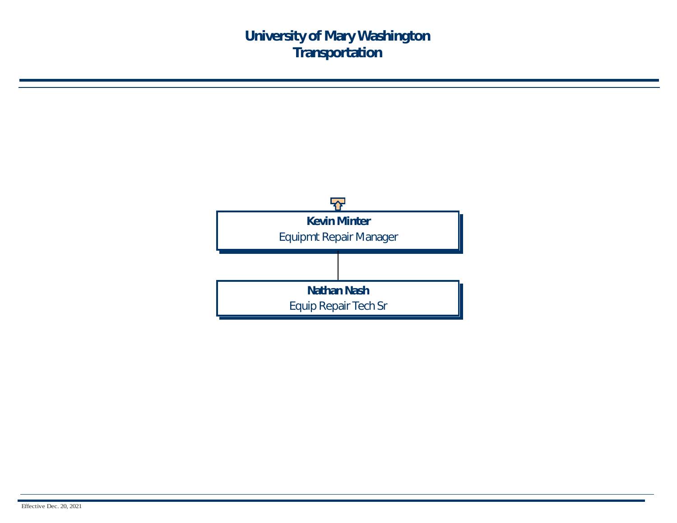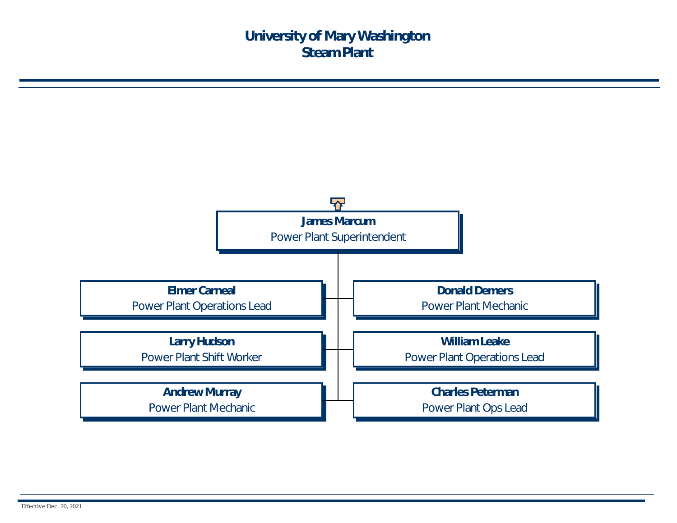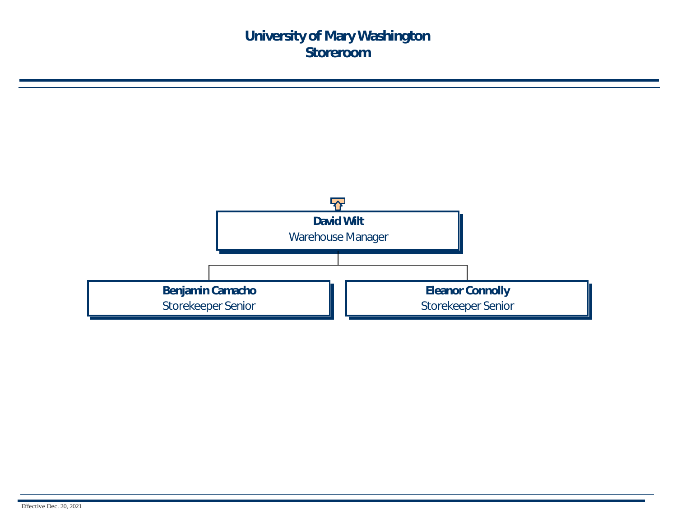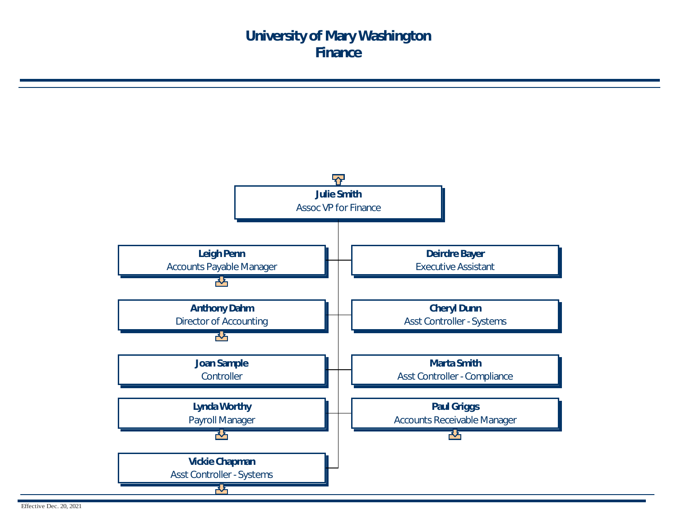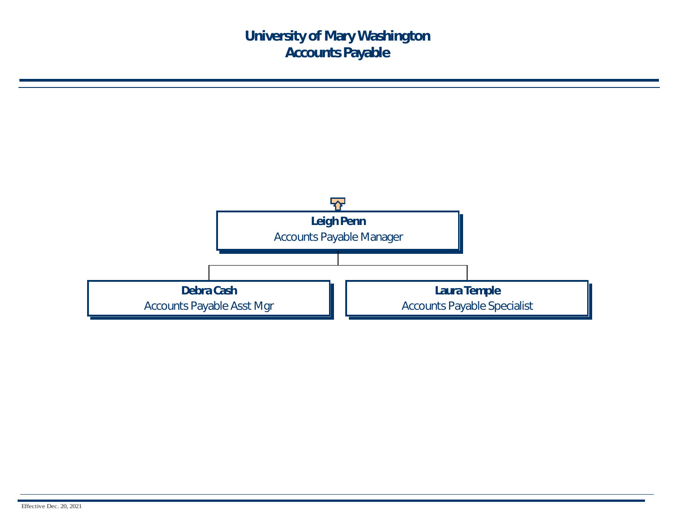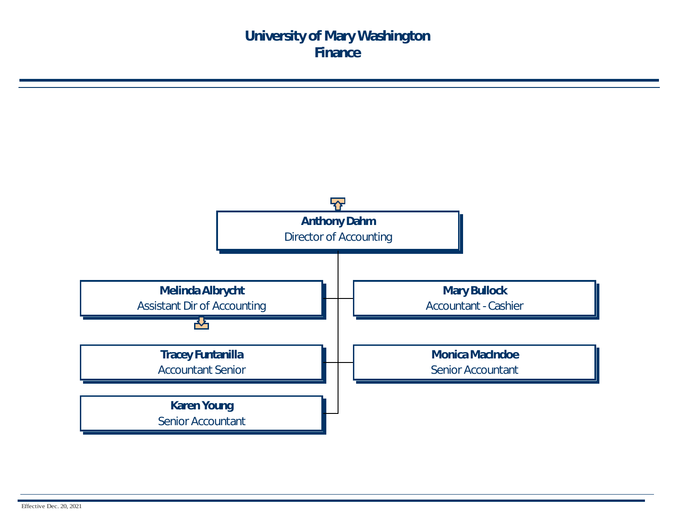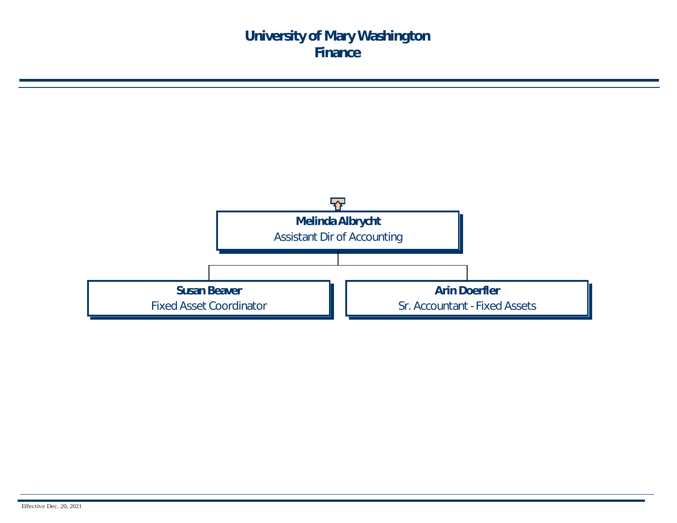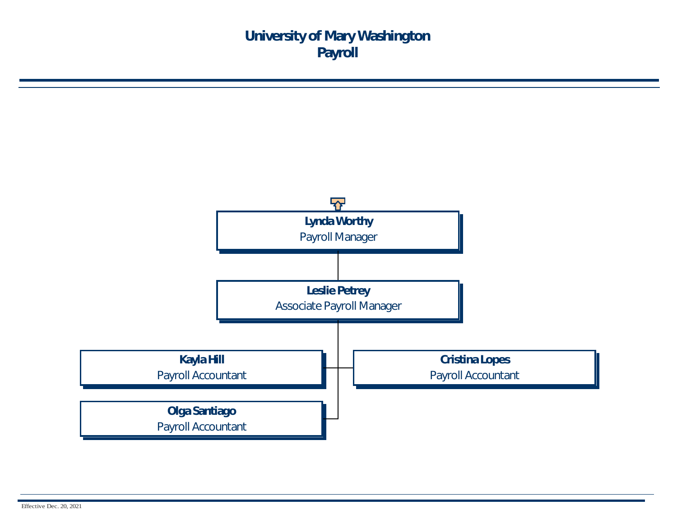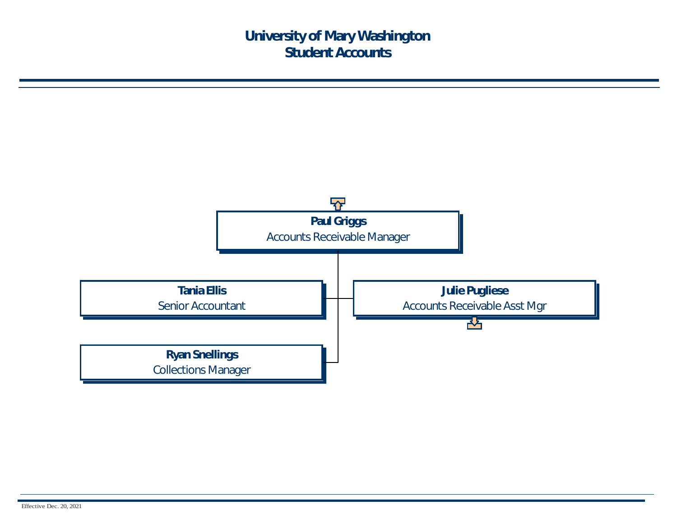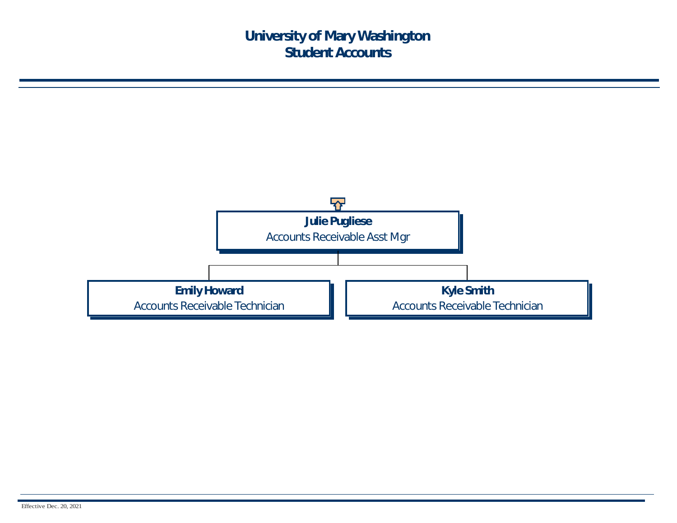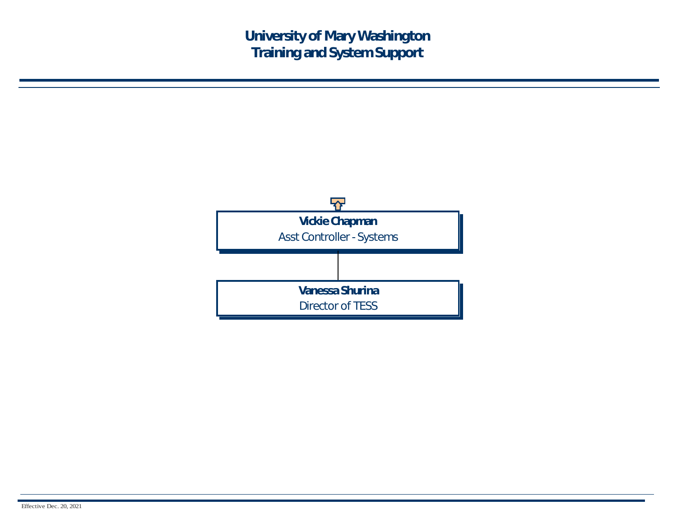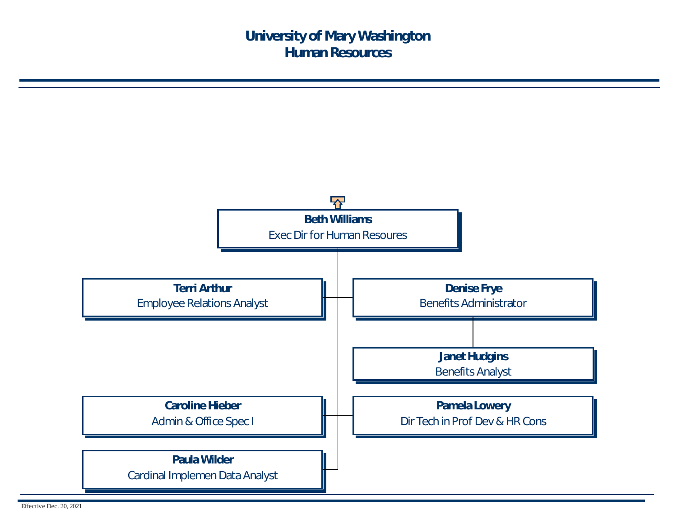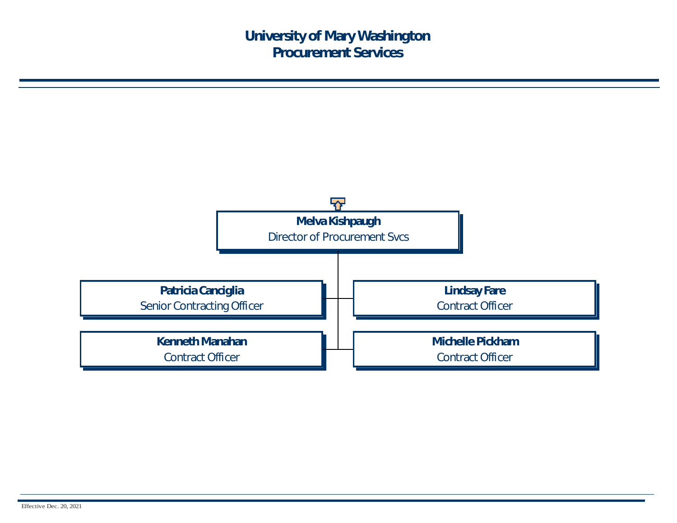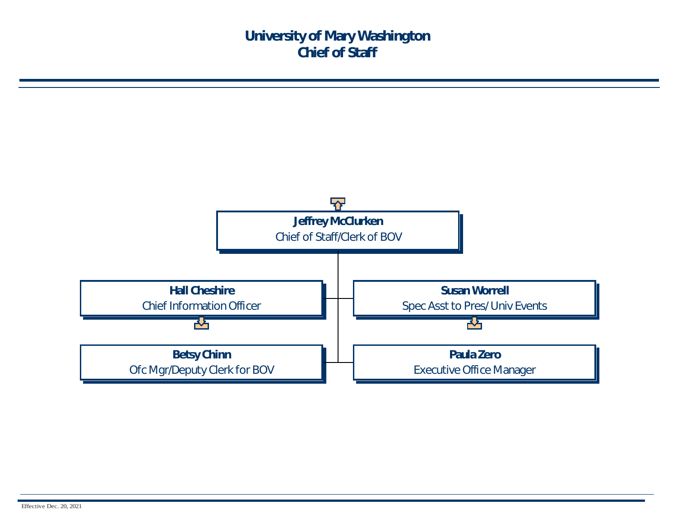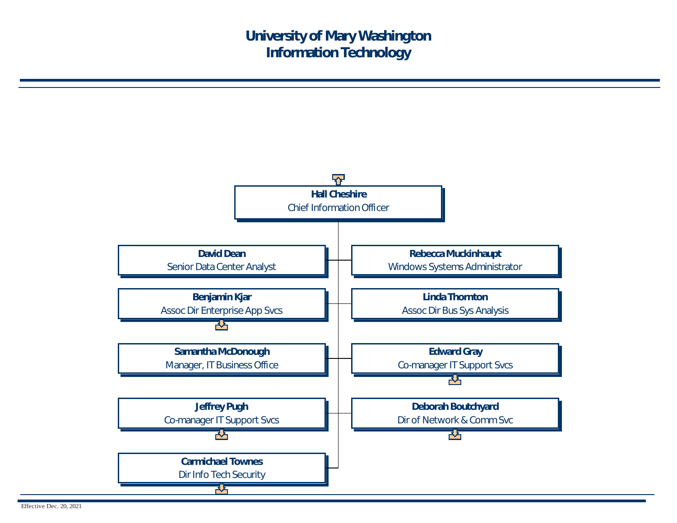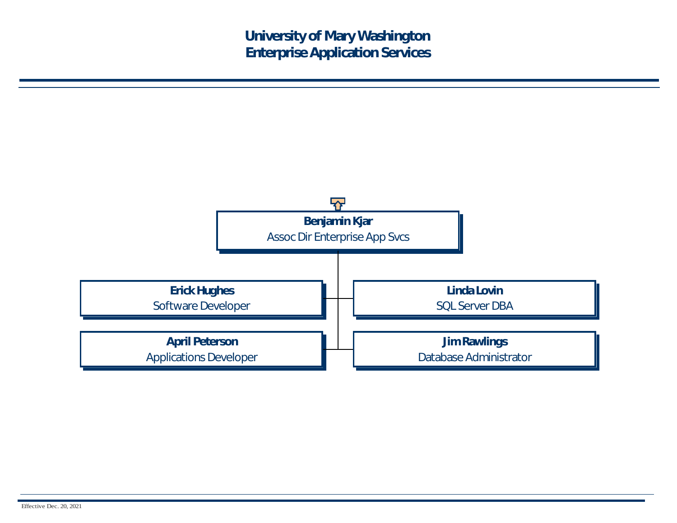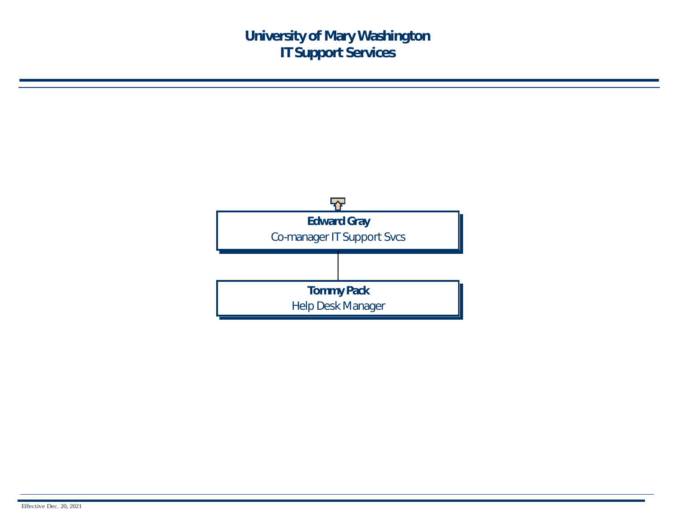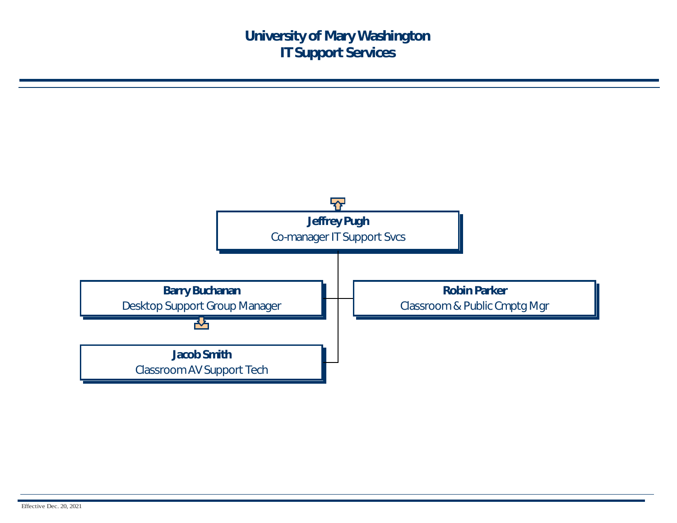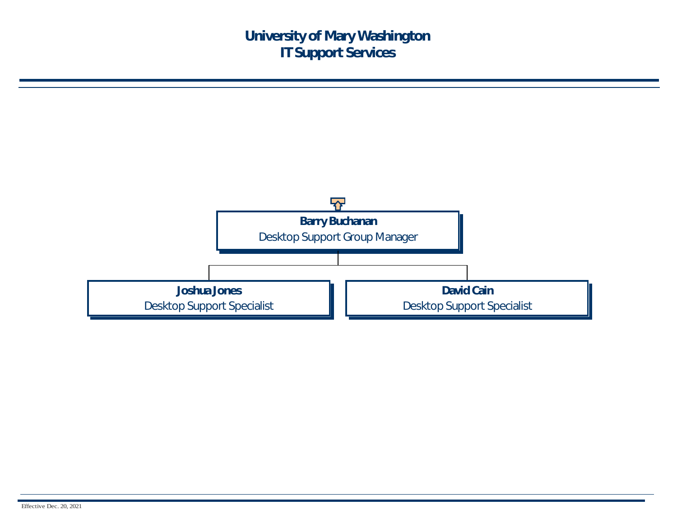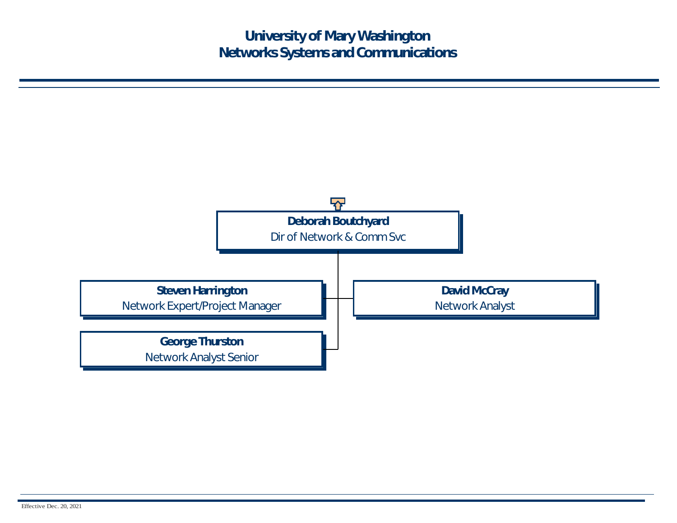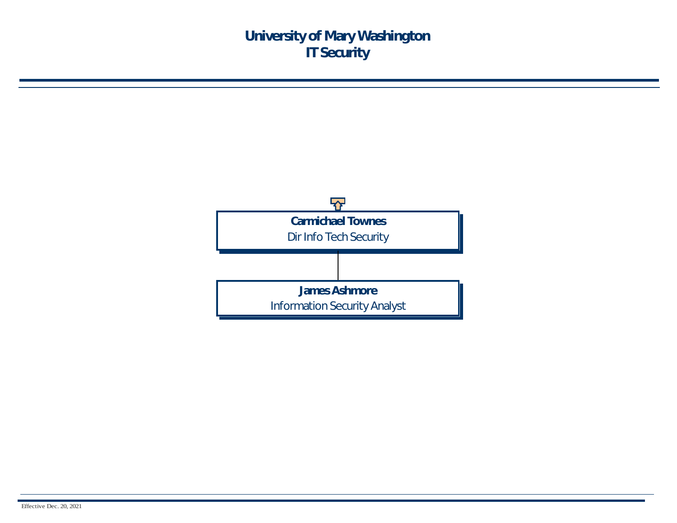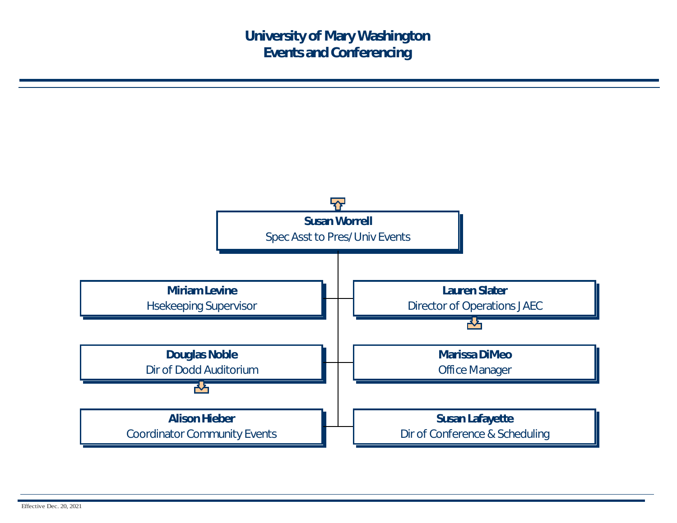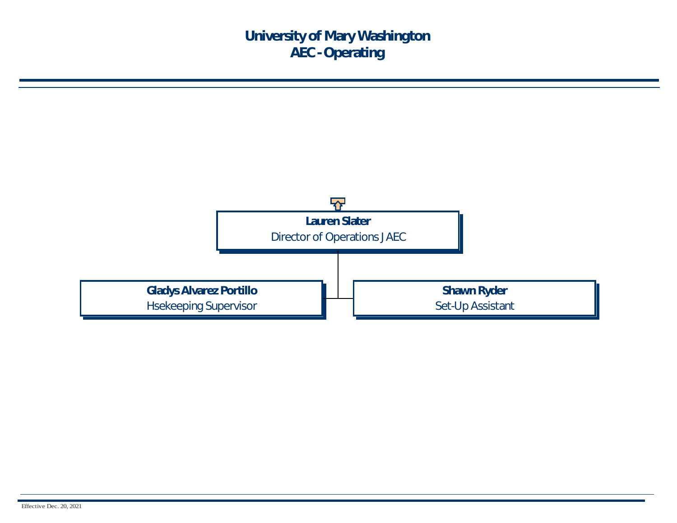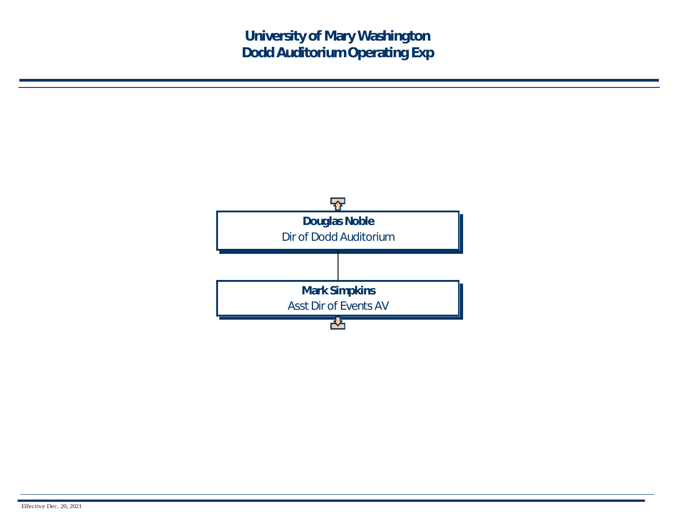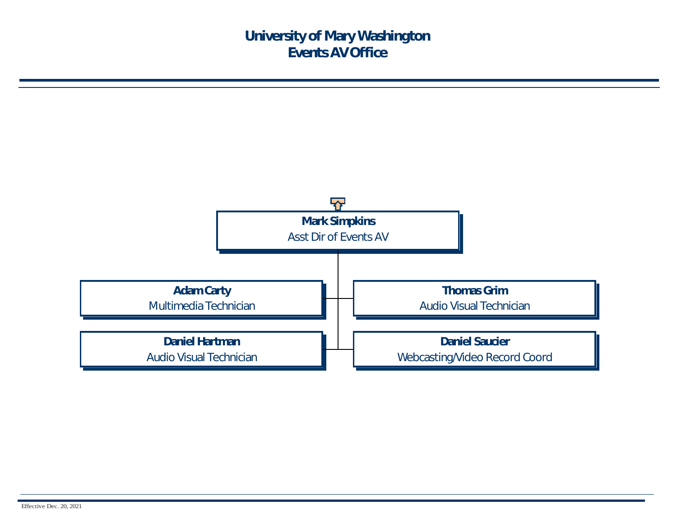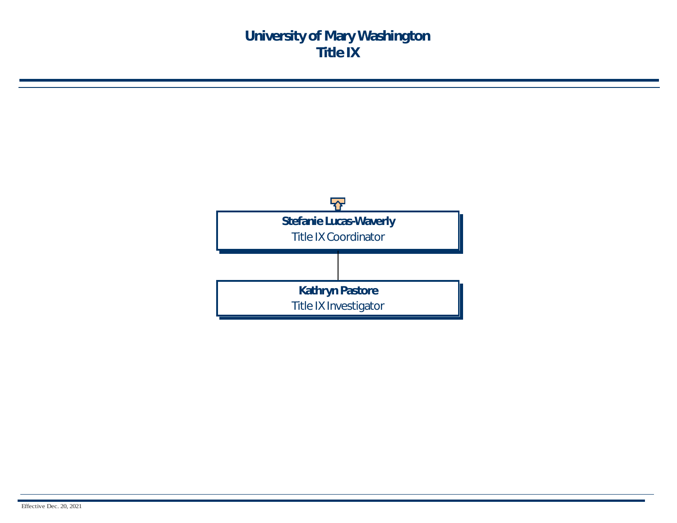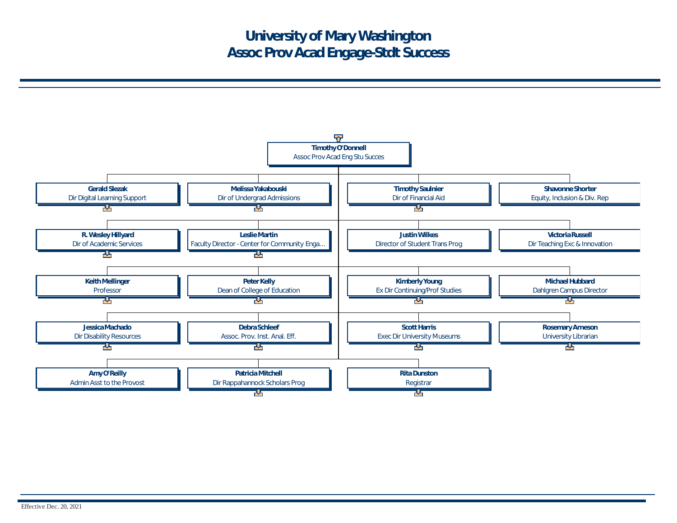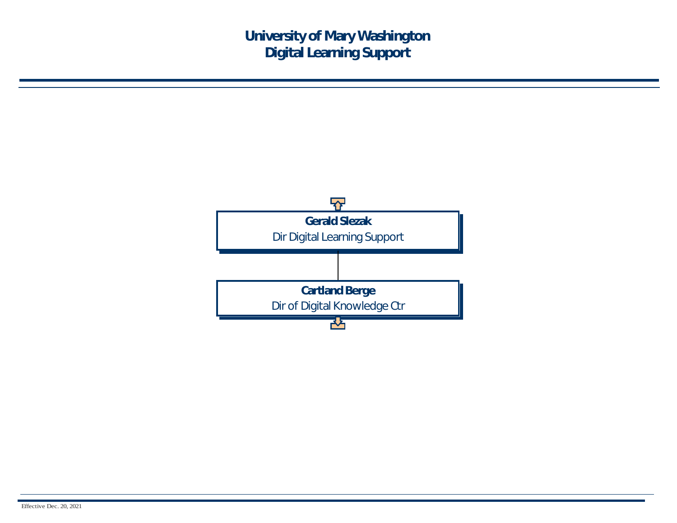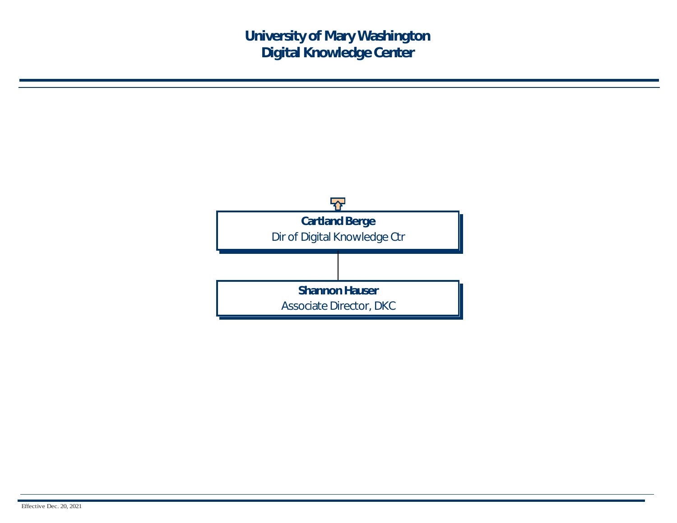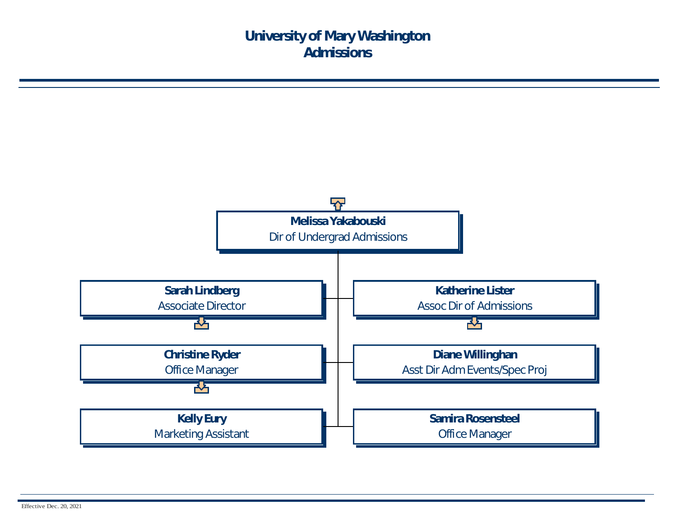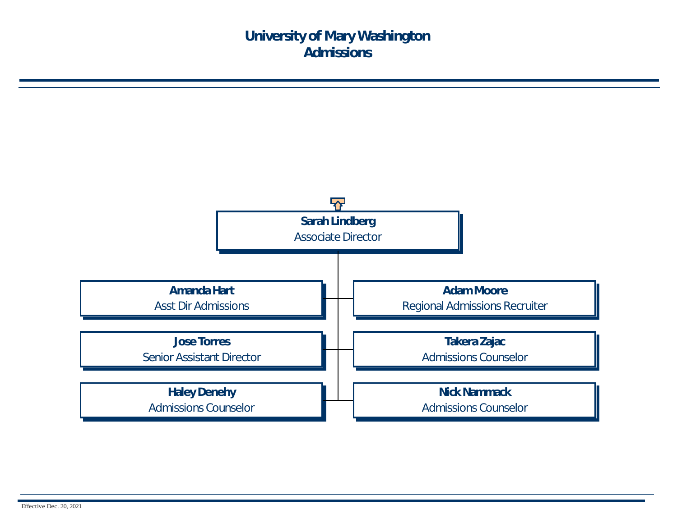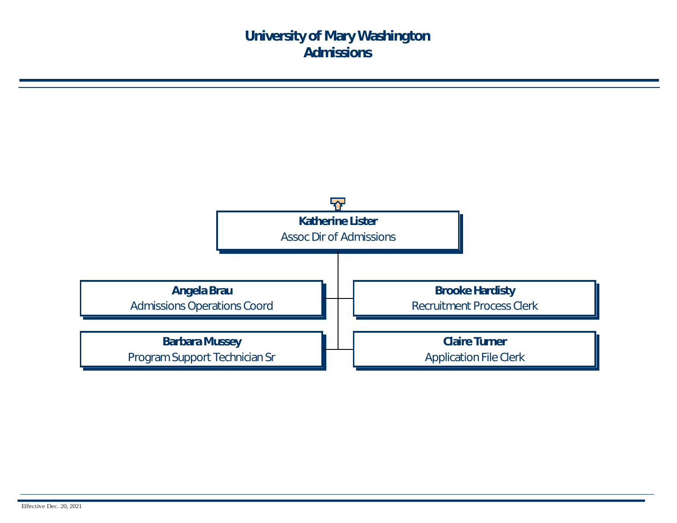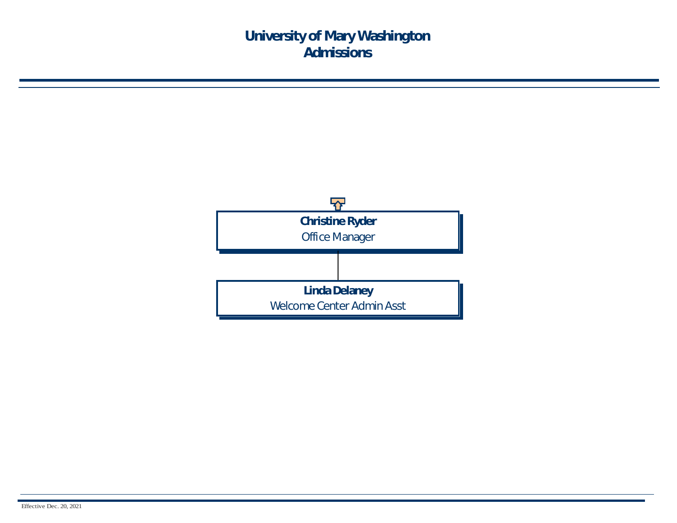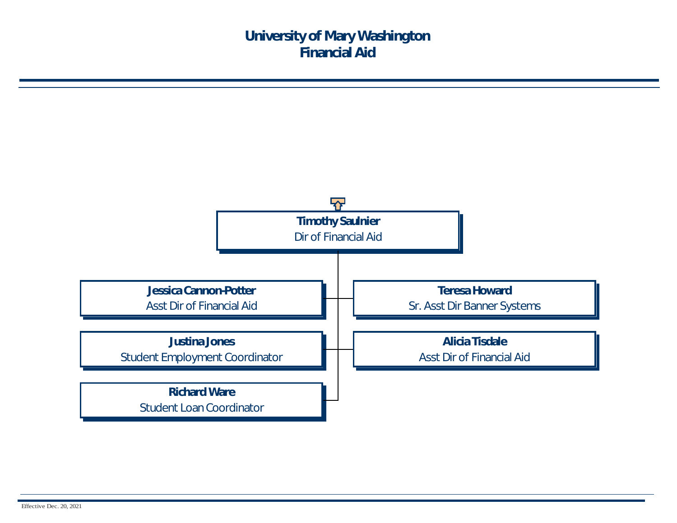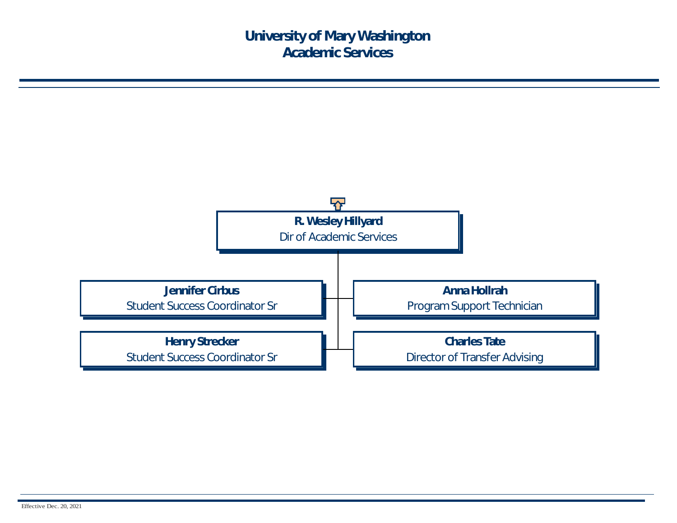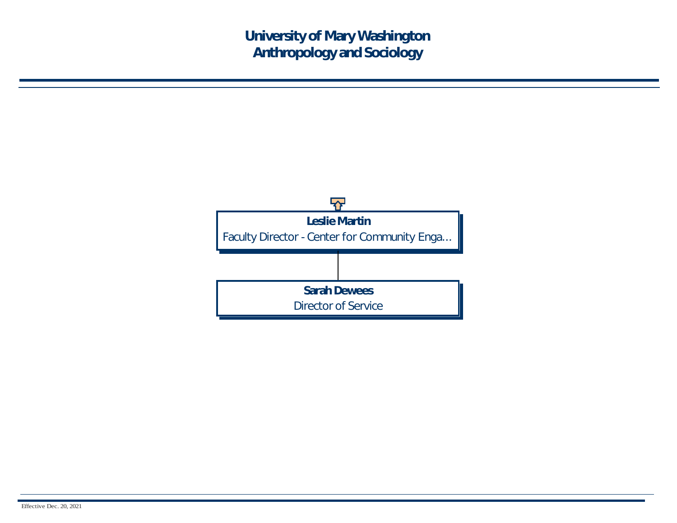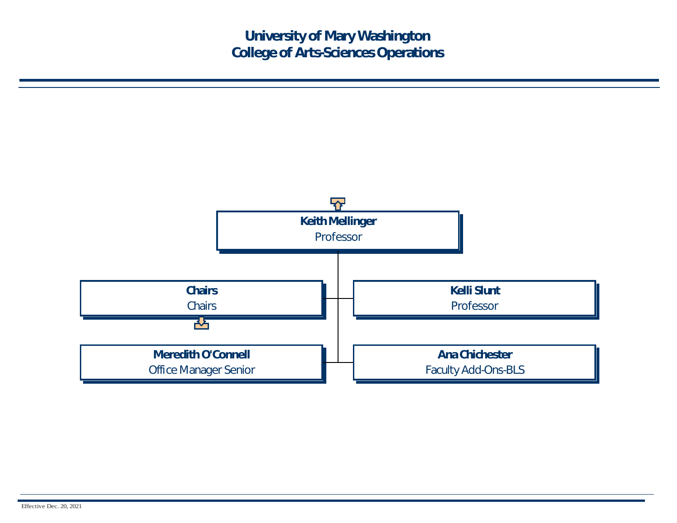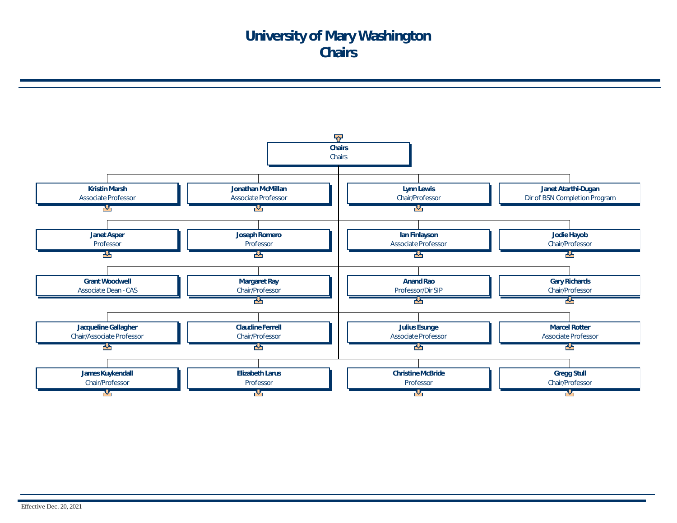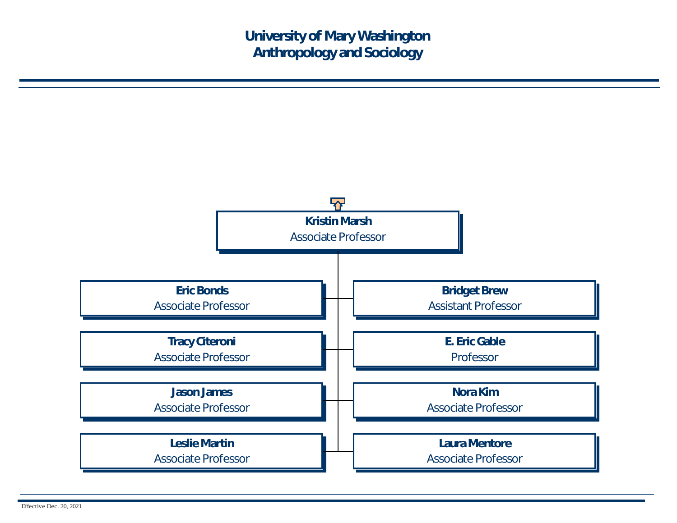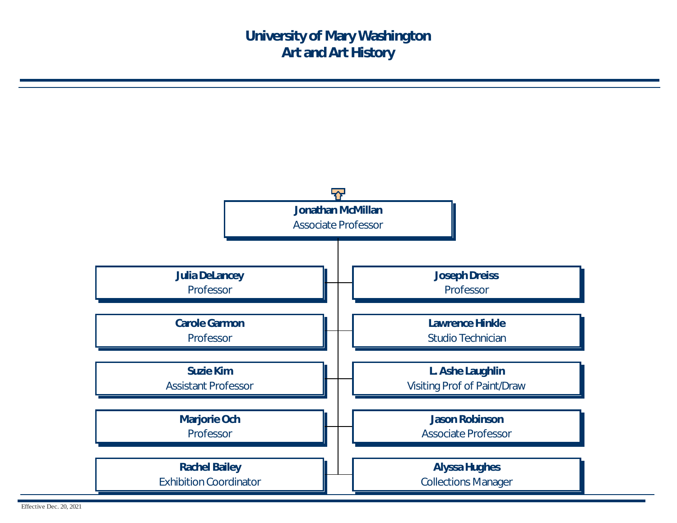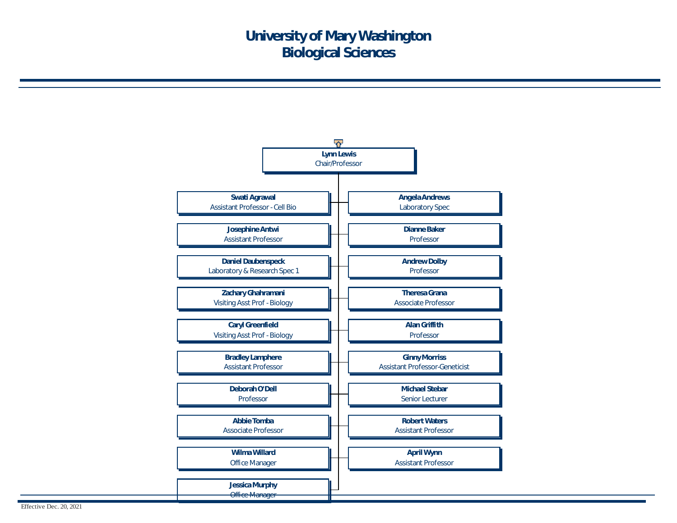

Effective Dec. 20, 2021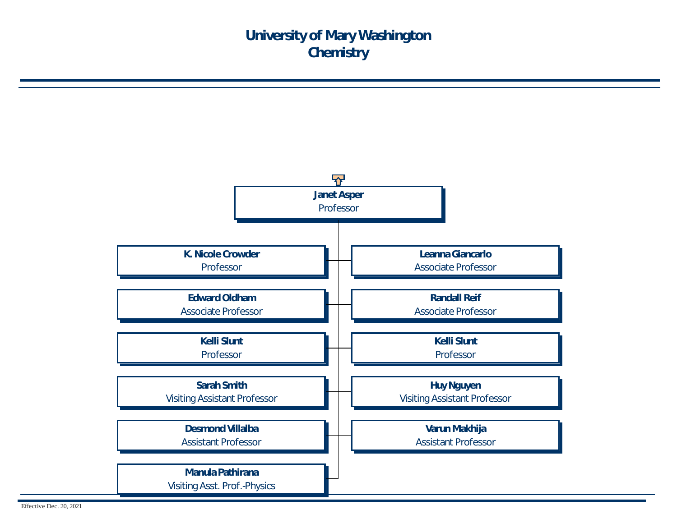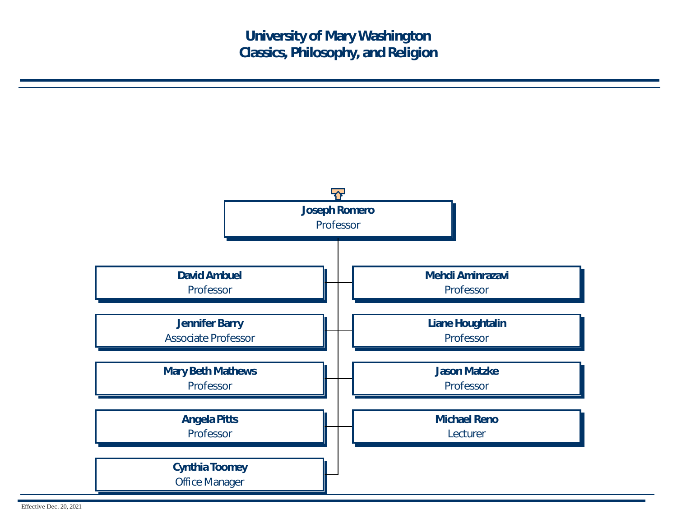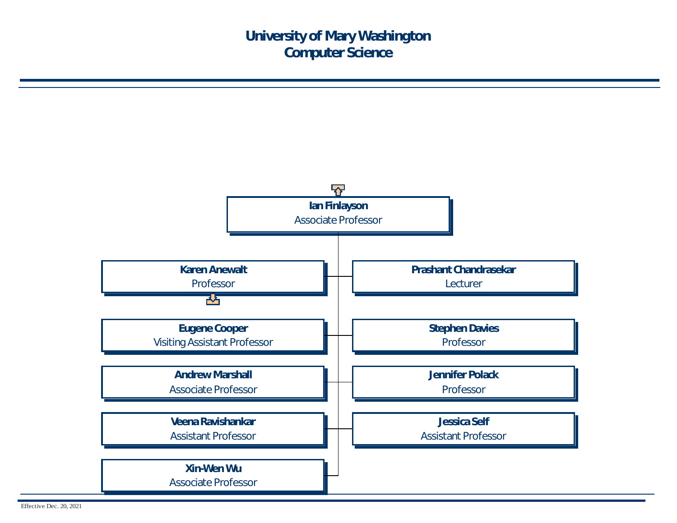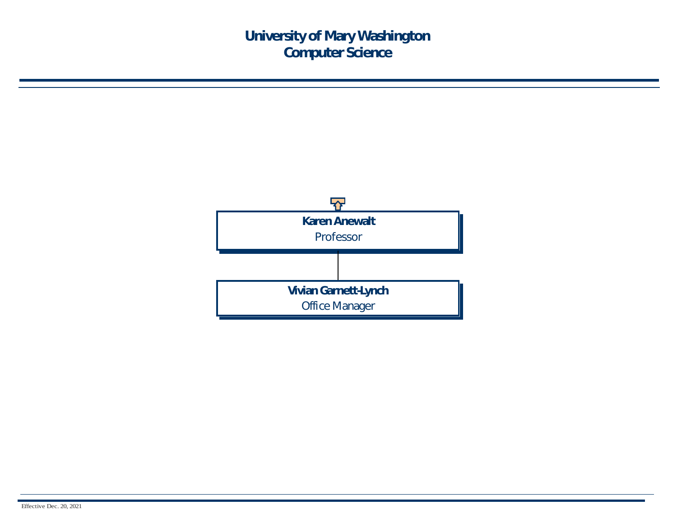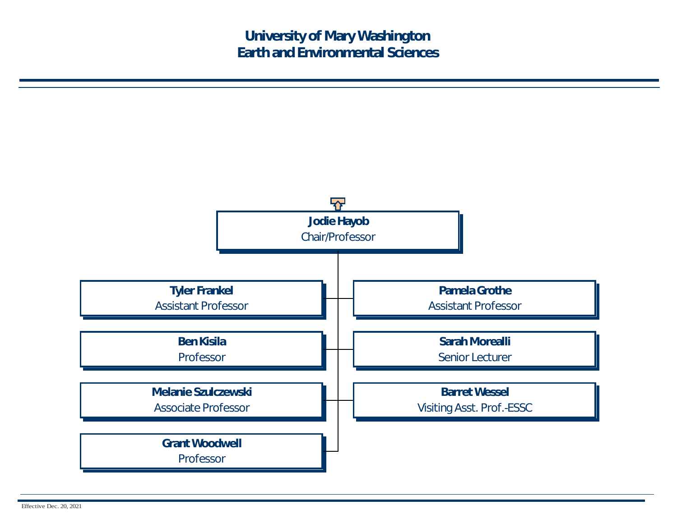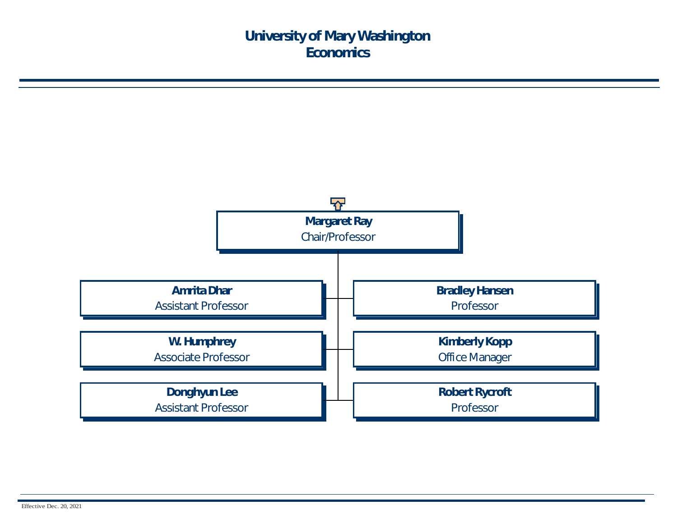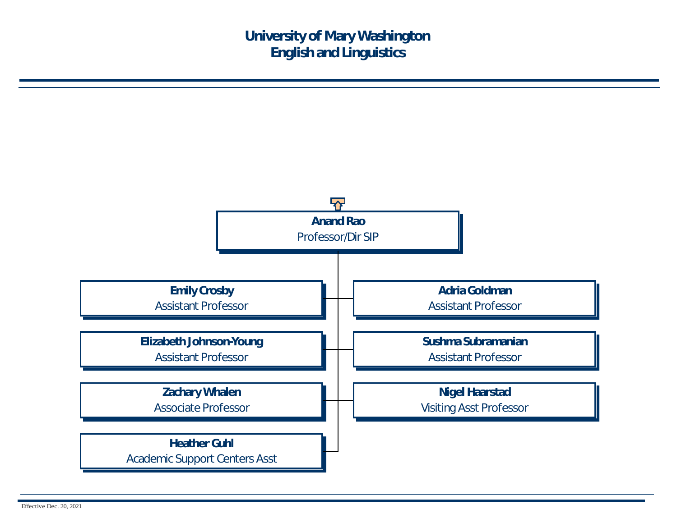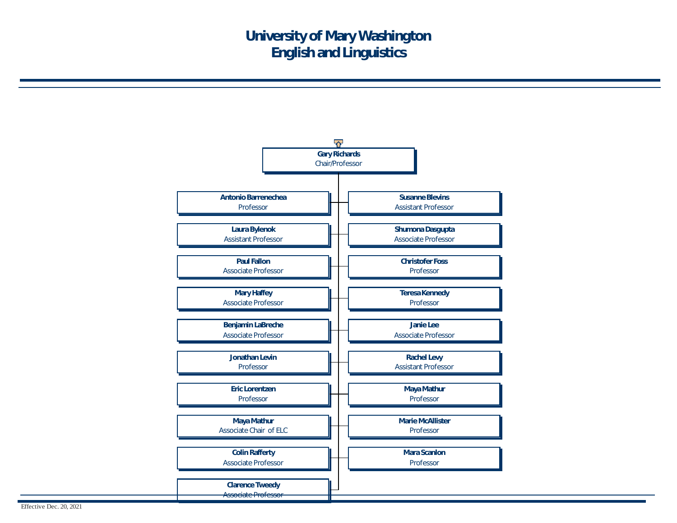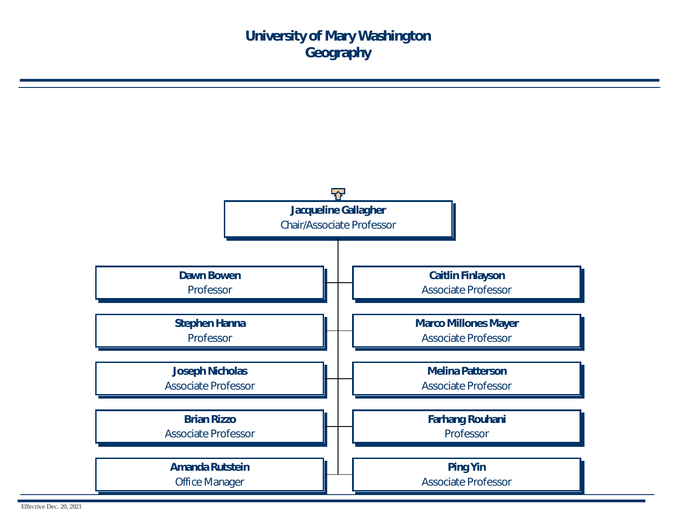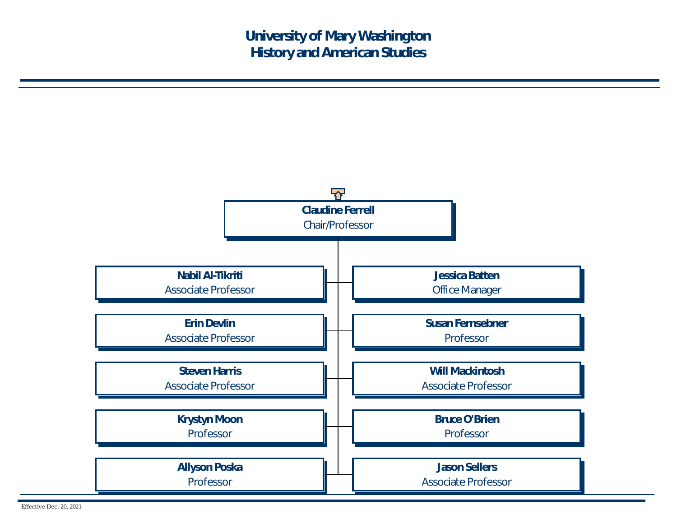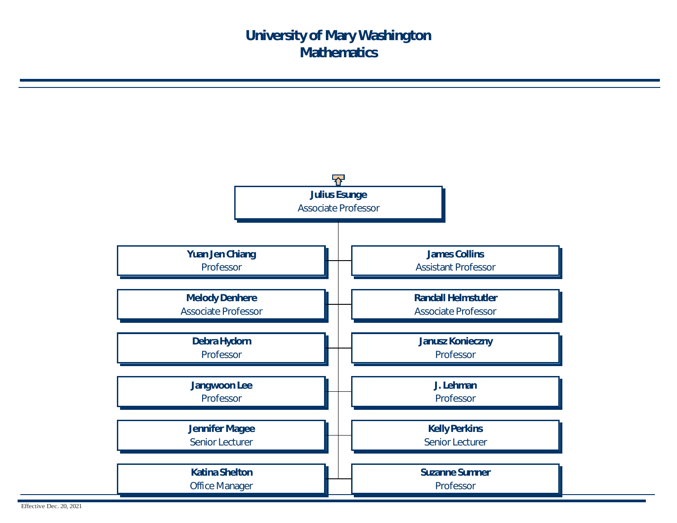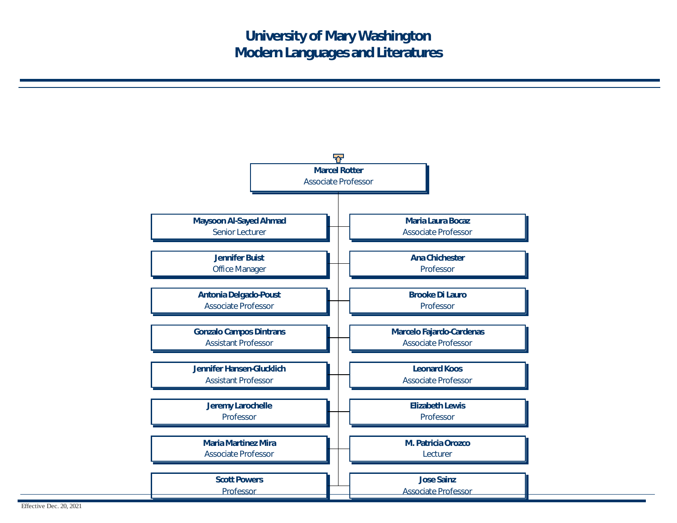

Effective Dec. 20, 2021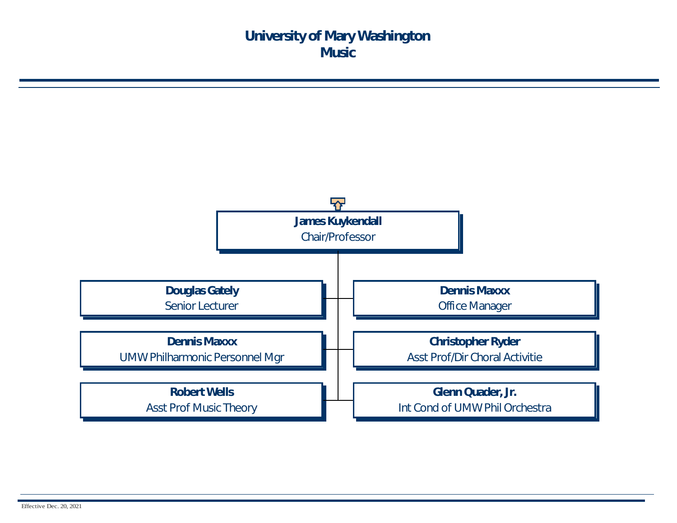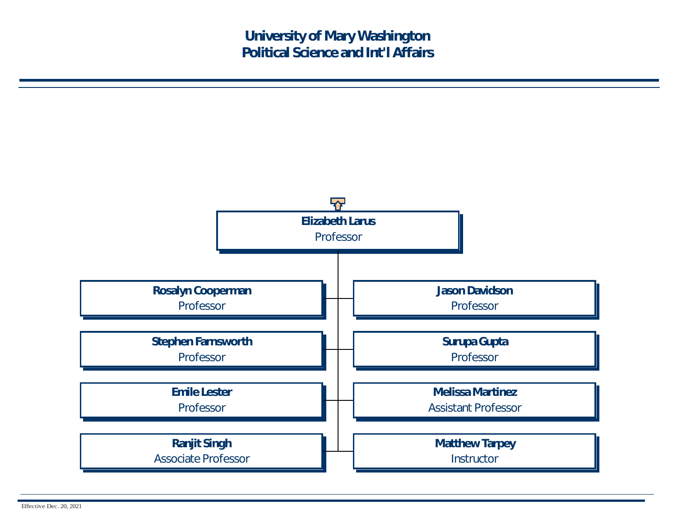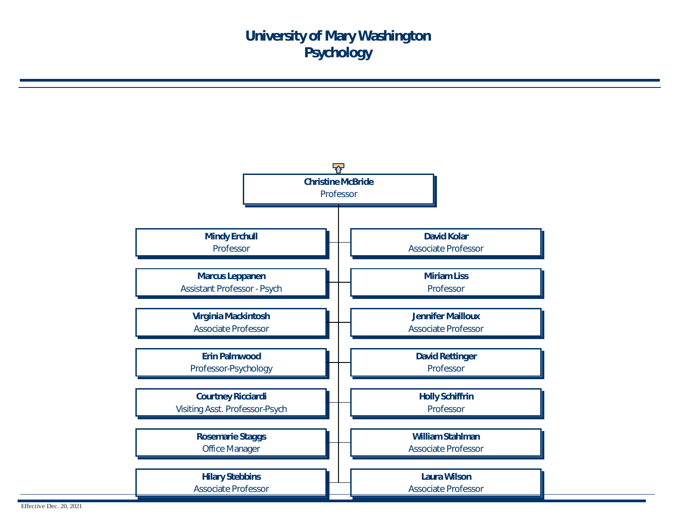

Effective Dec. 20, 2021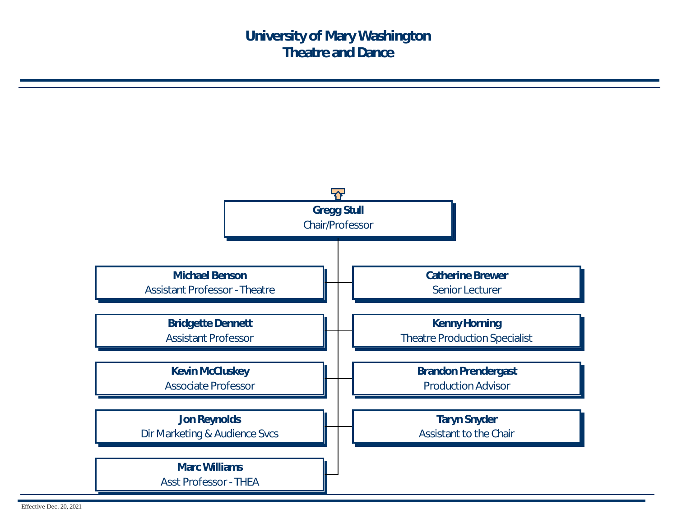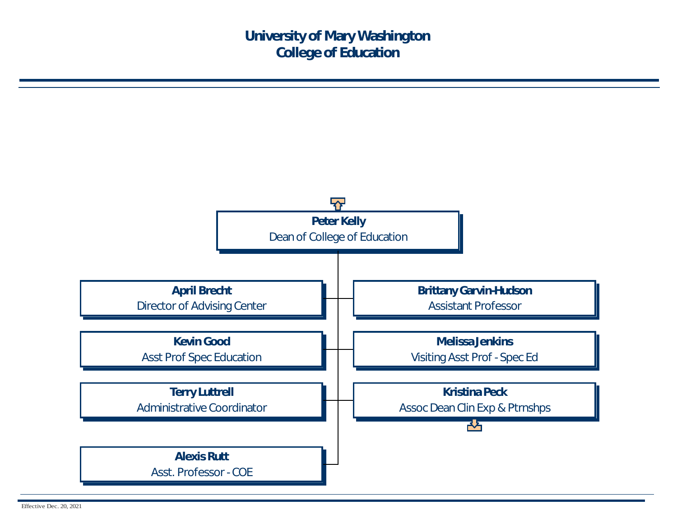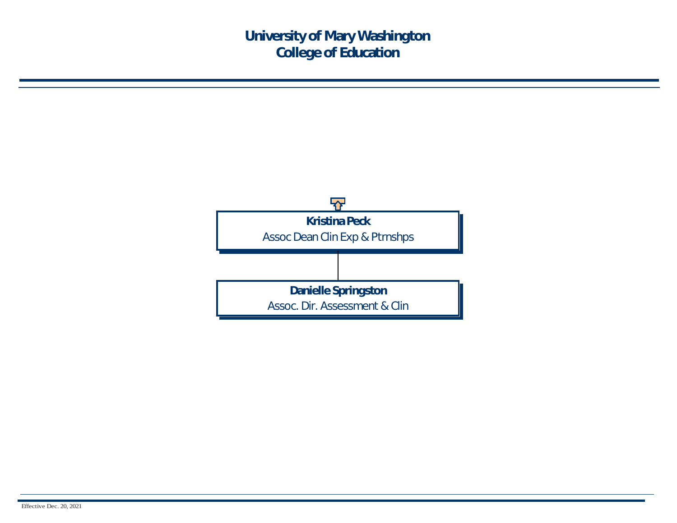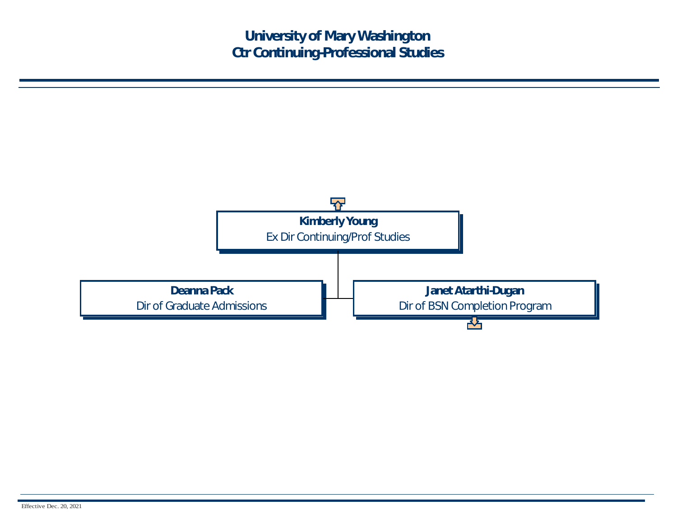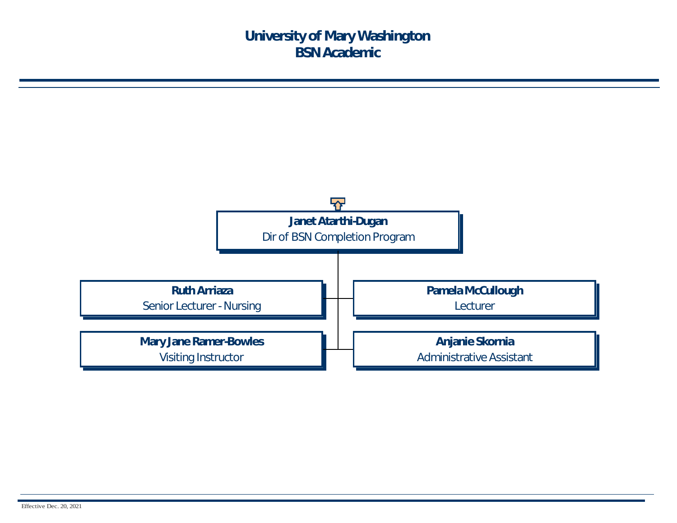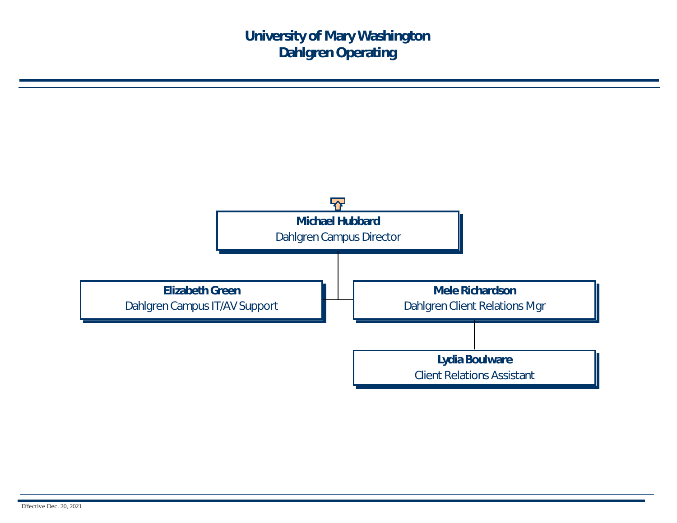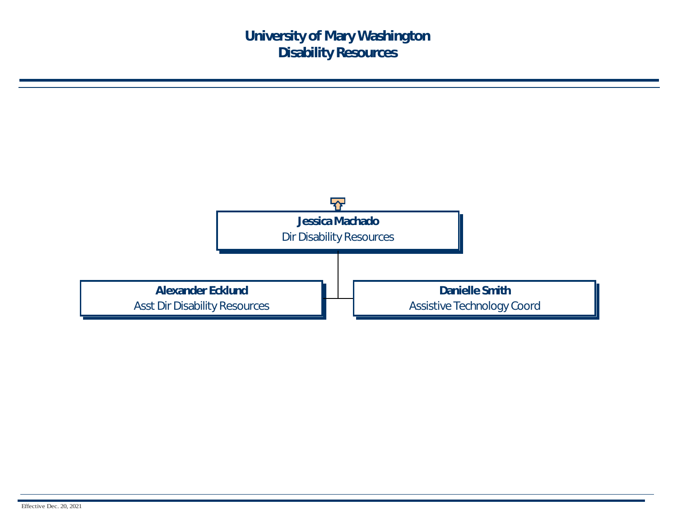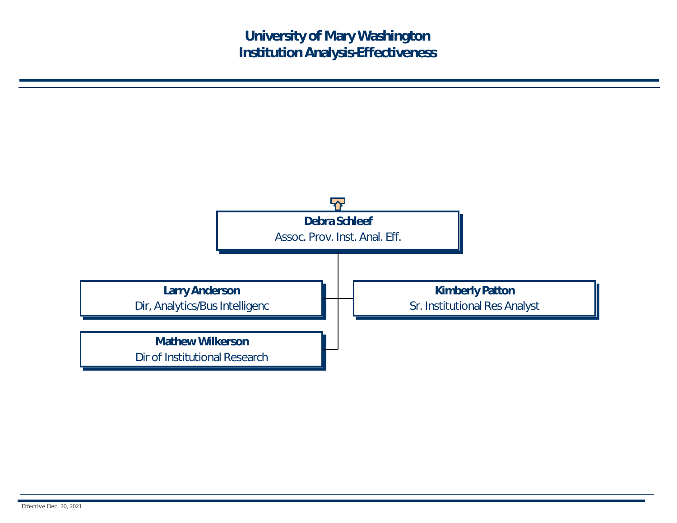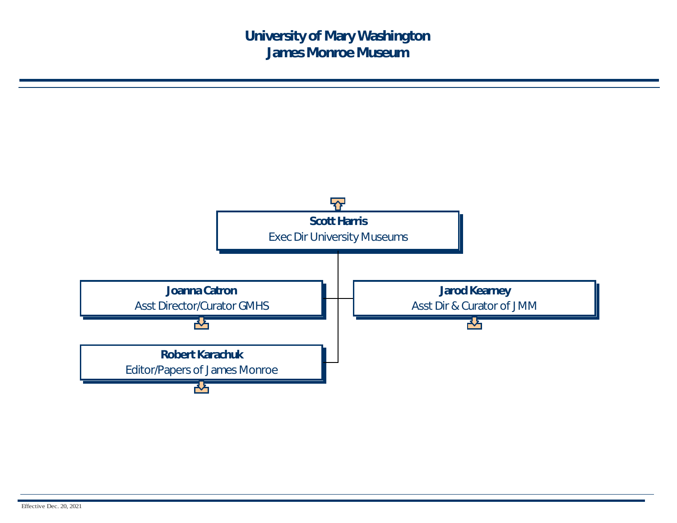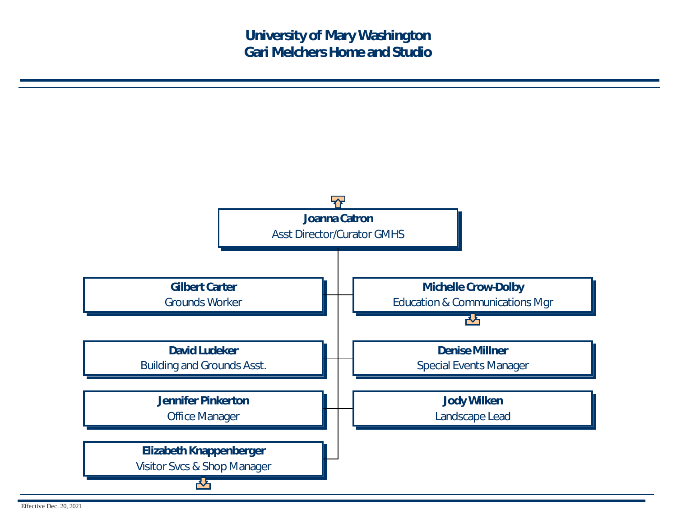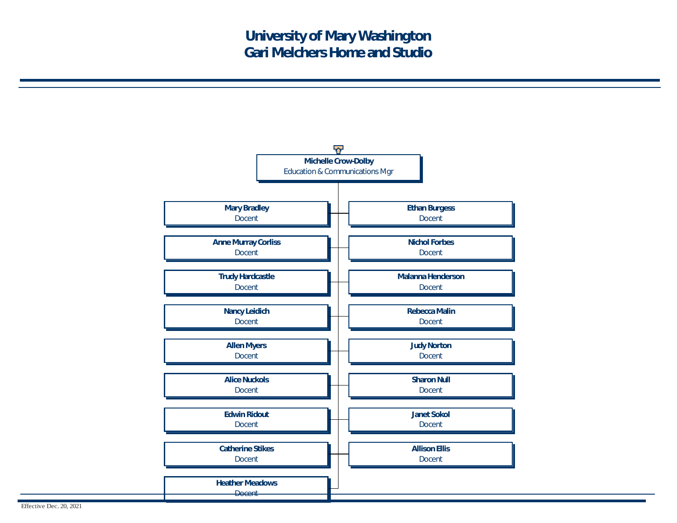

Effective Dec. 20, 2021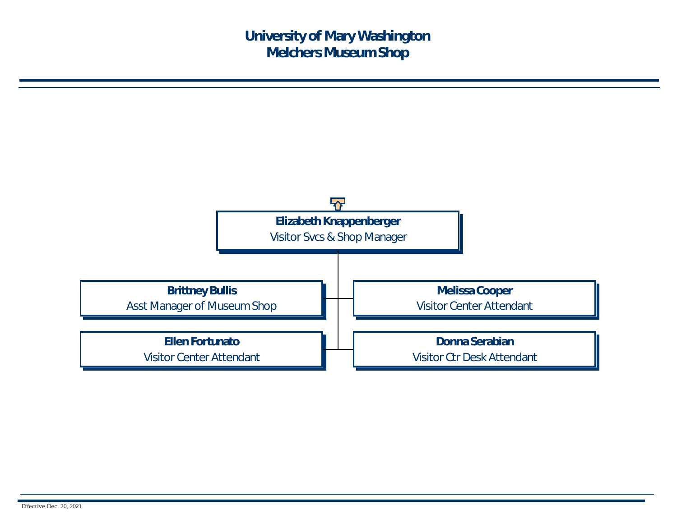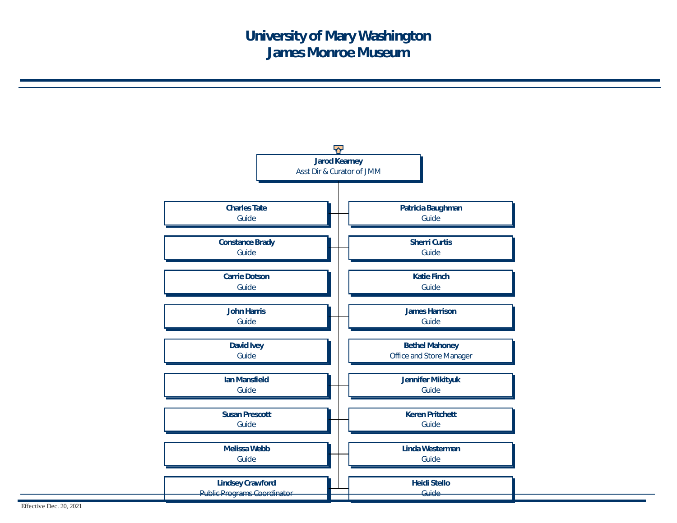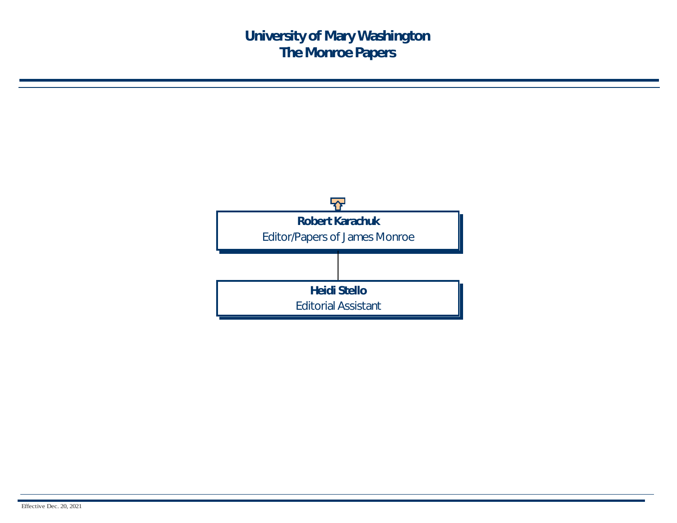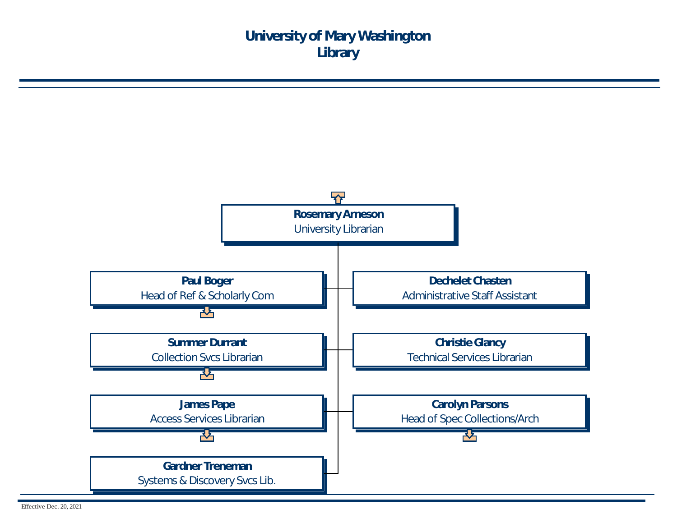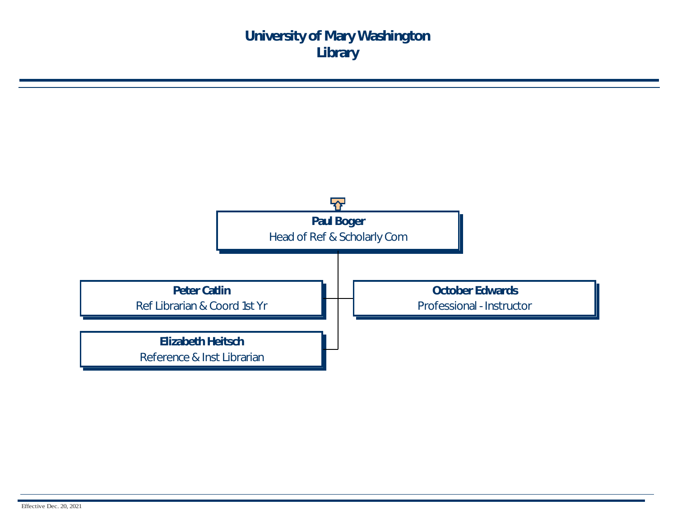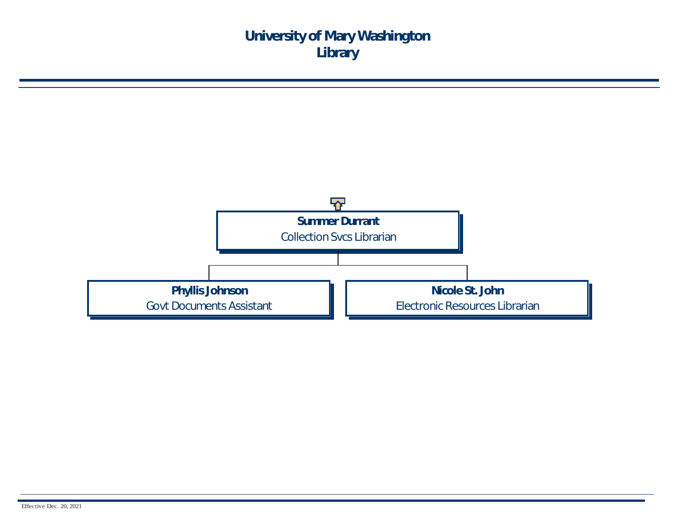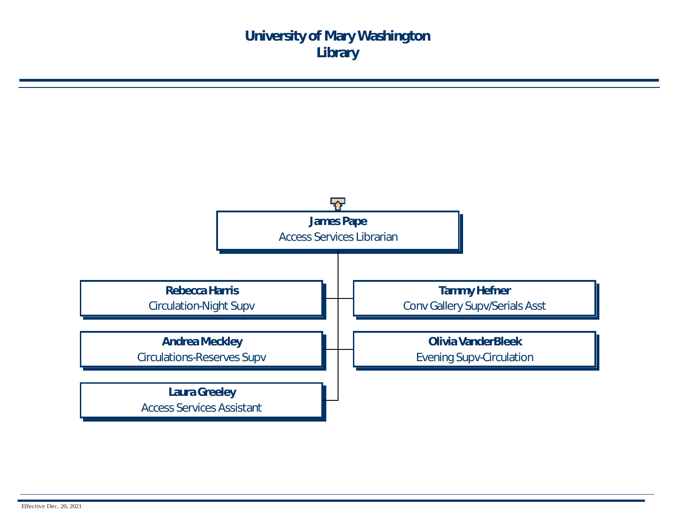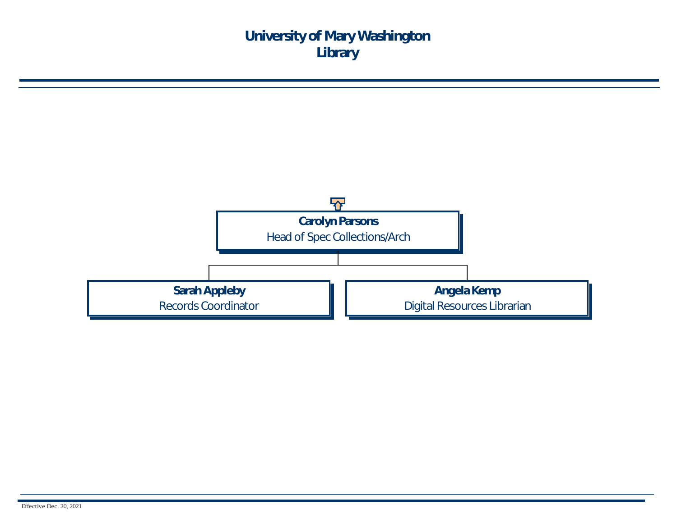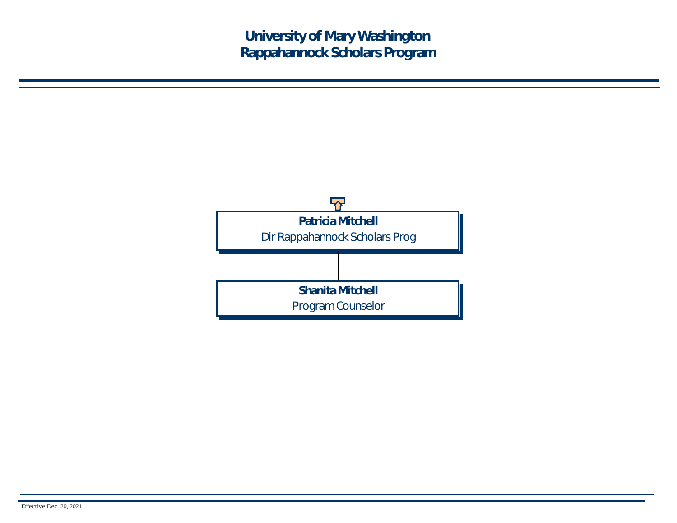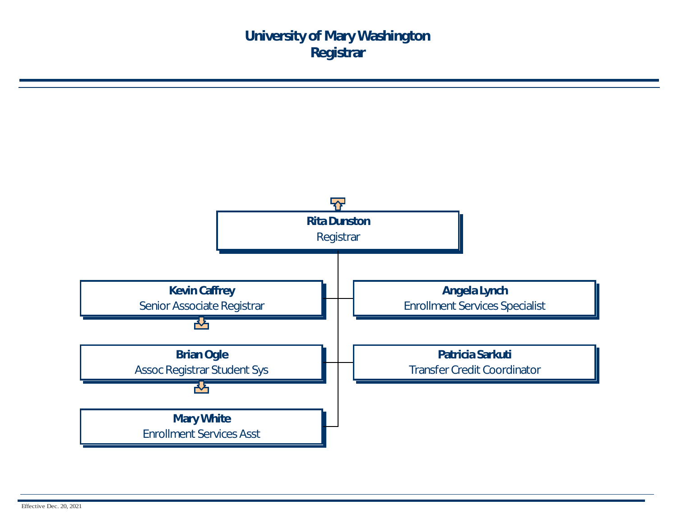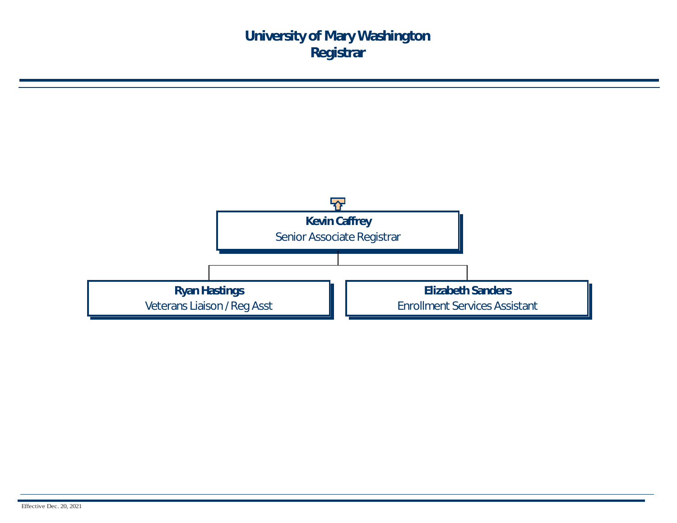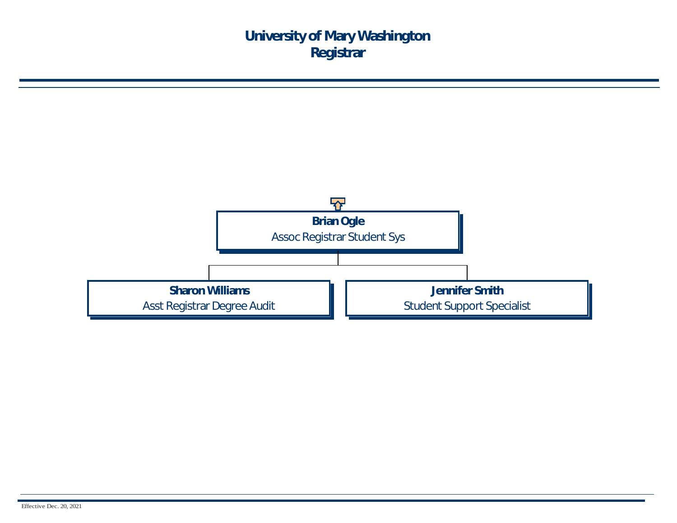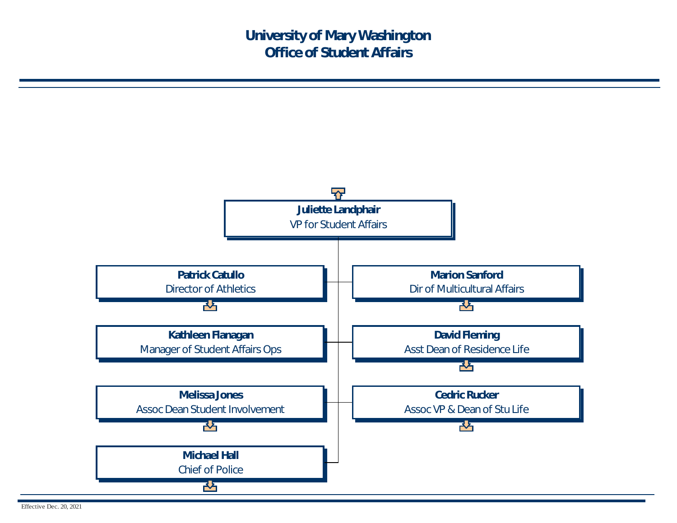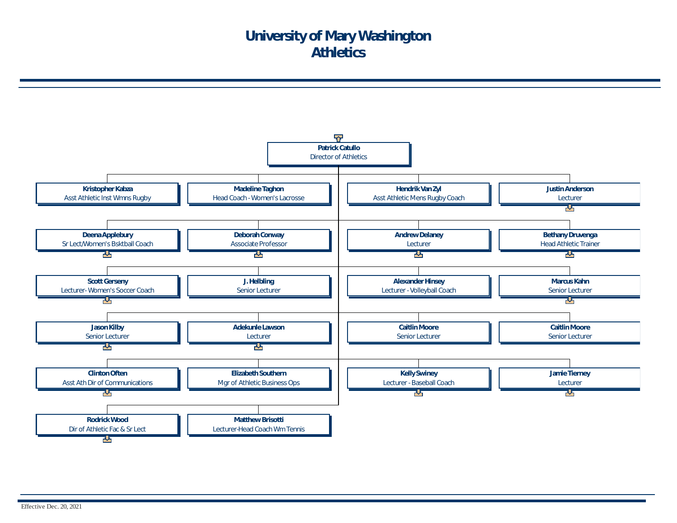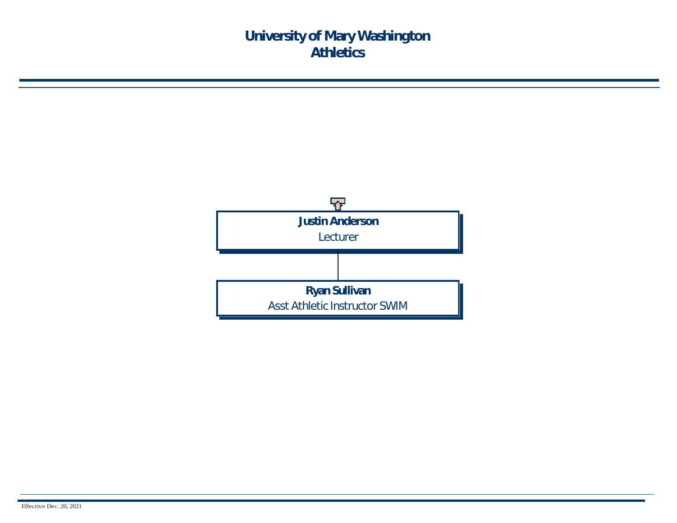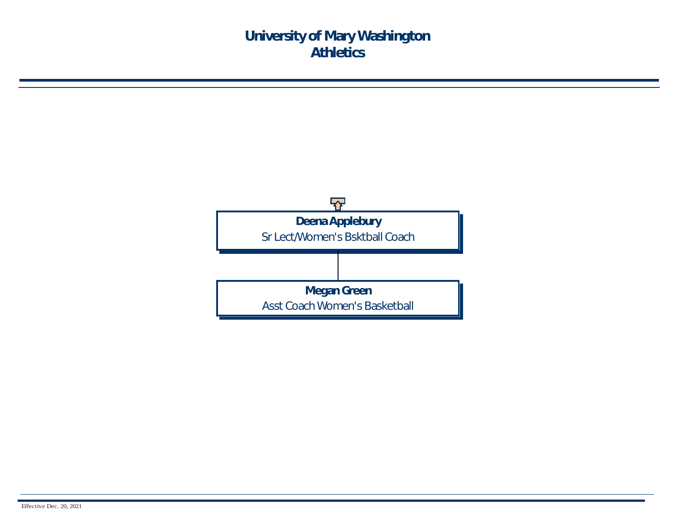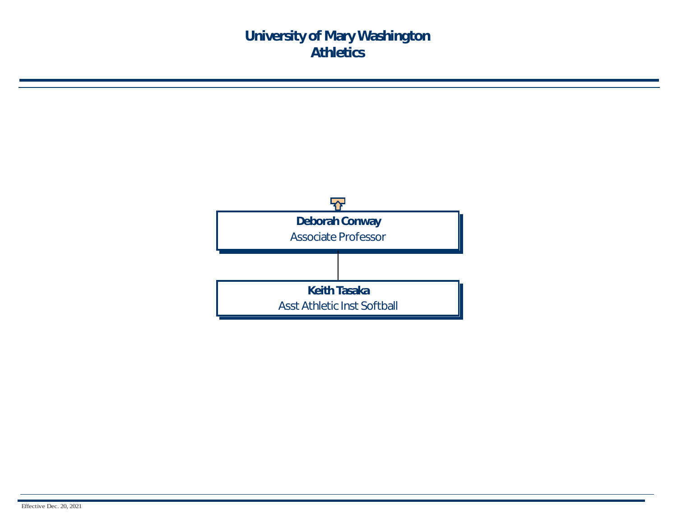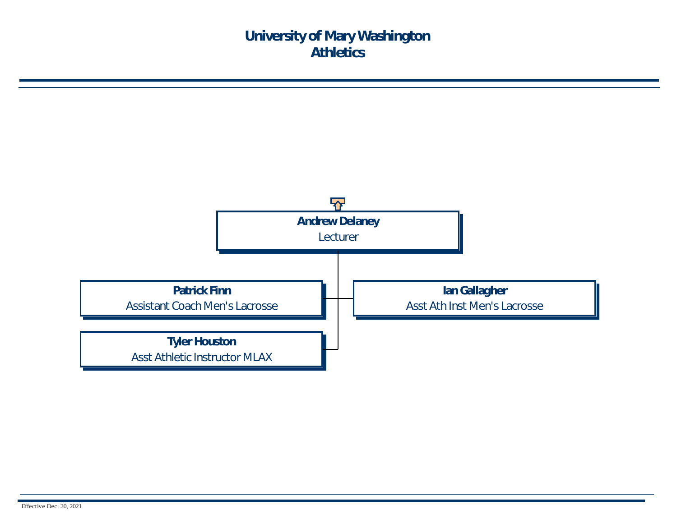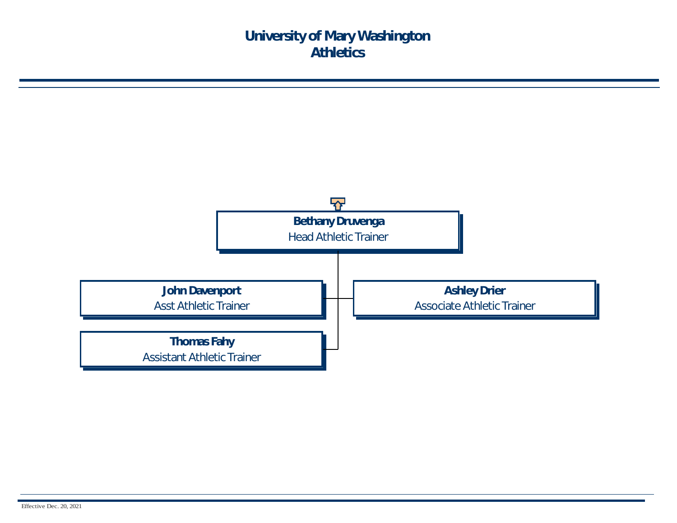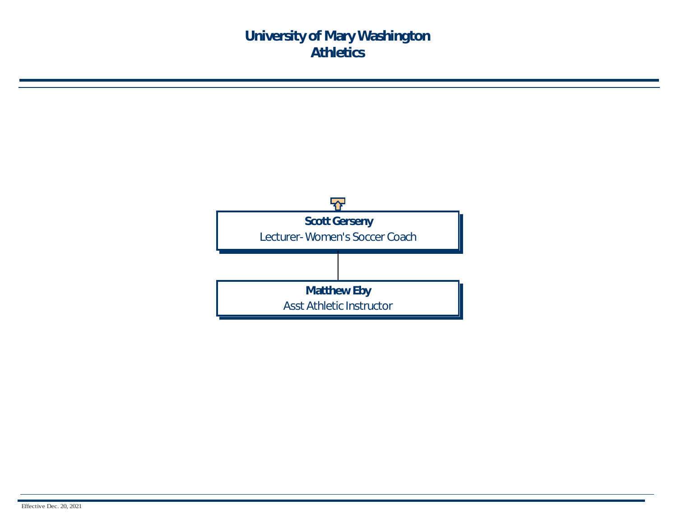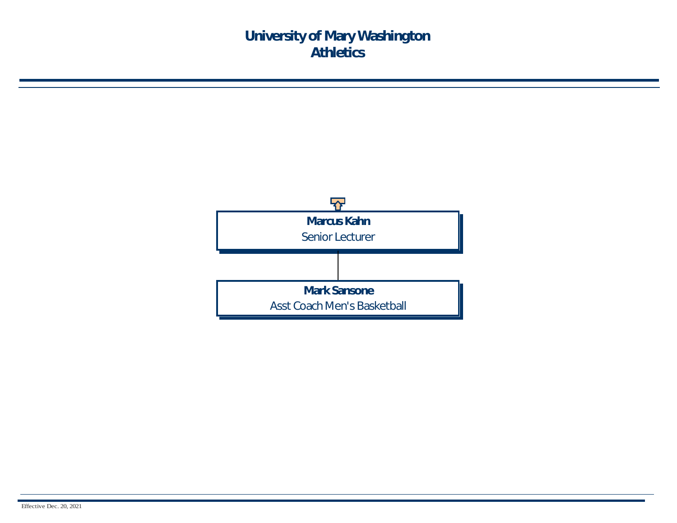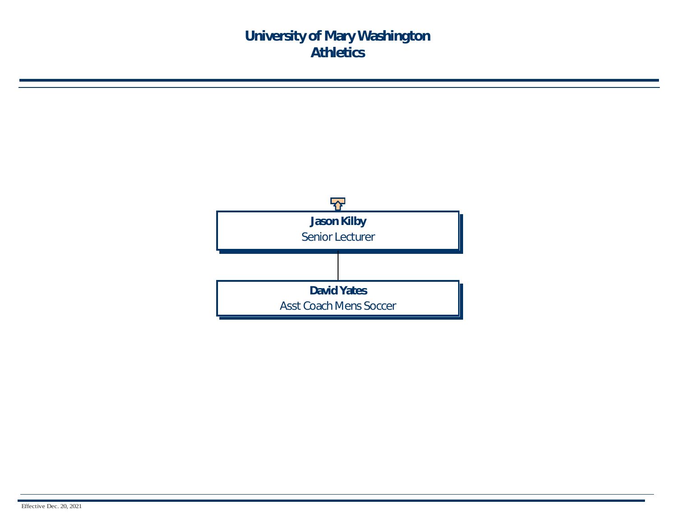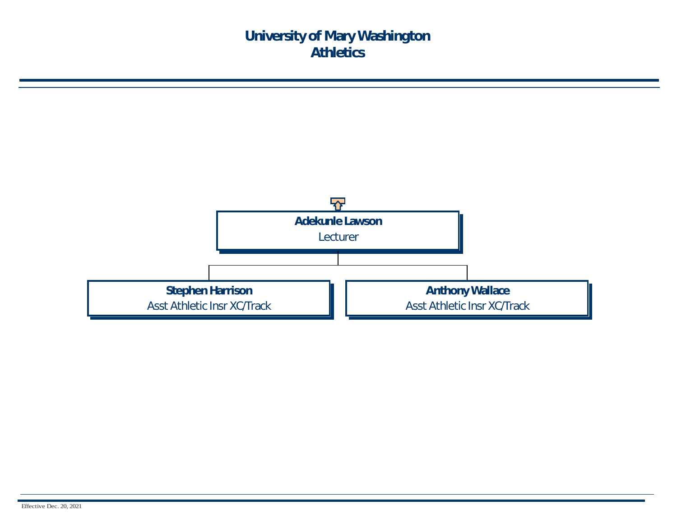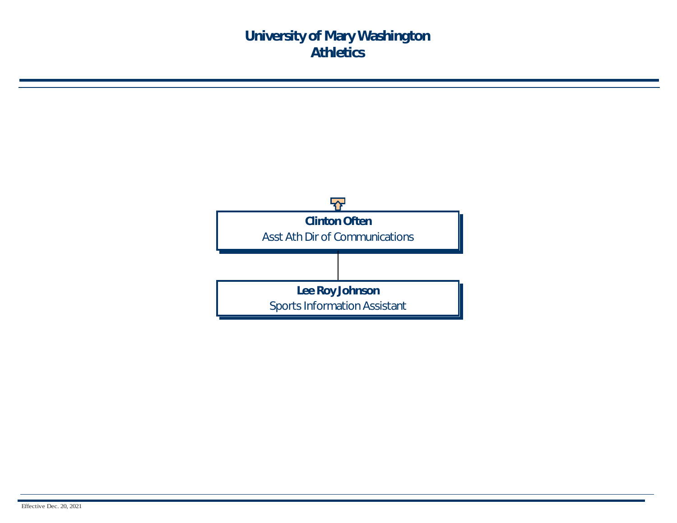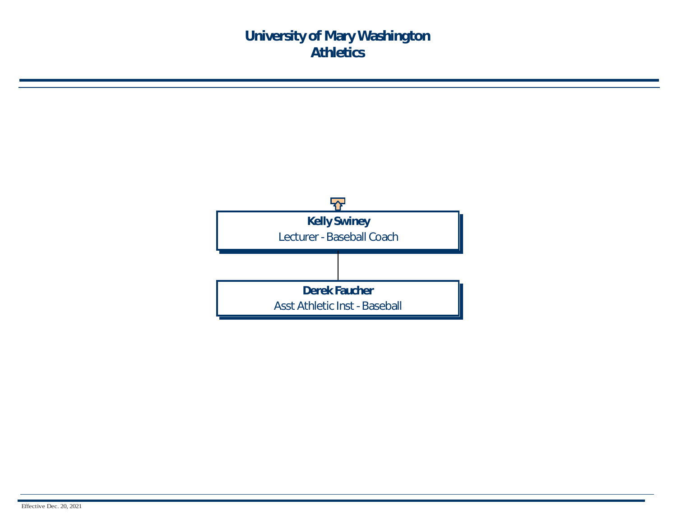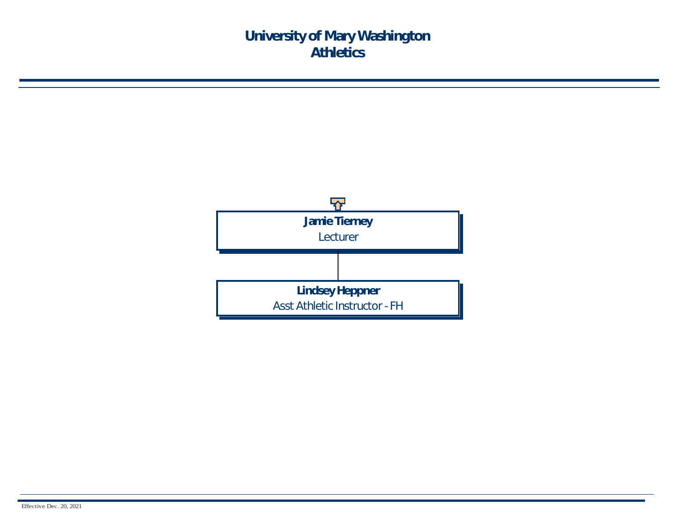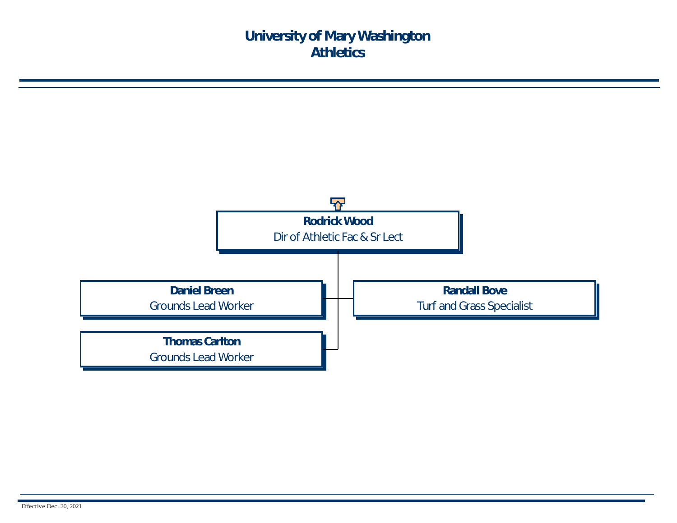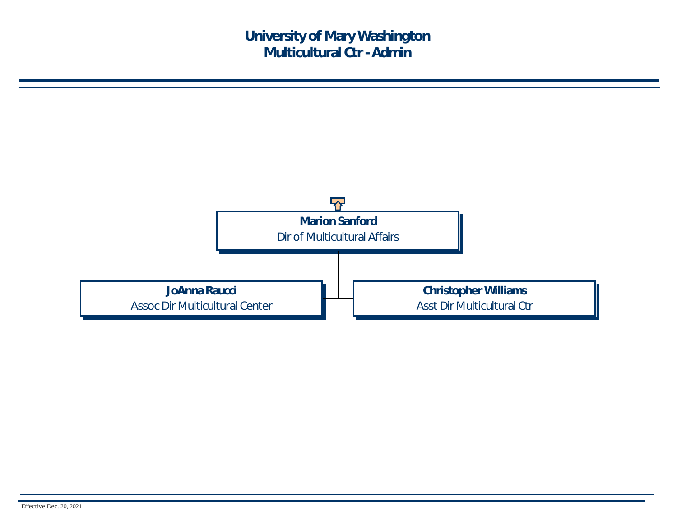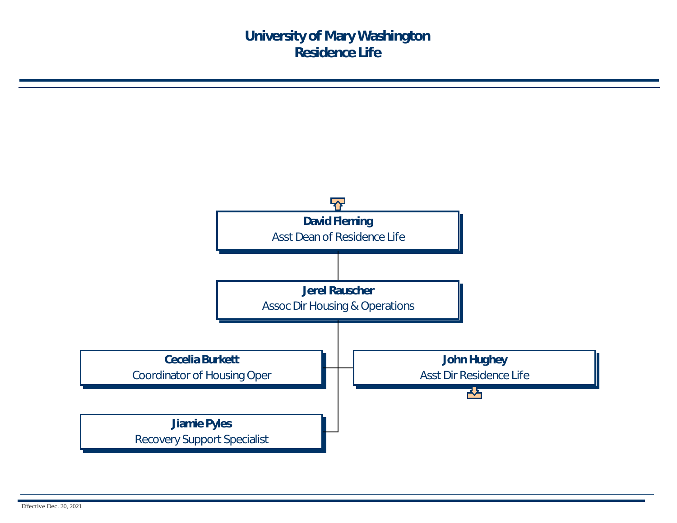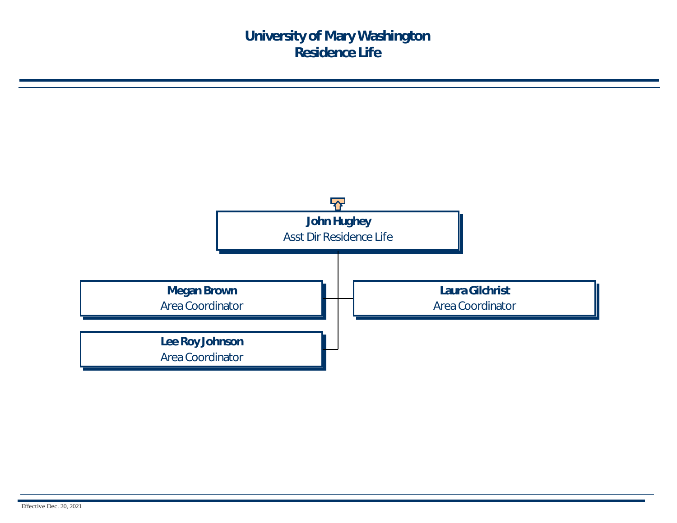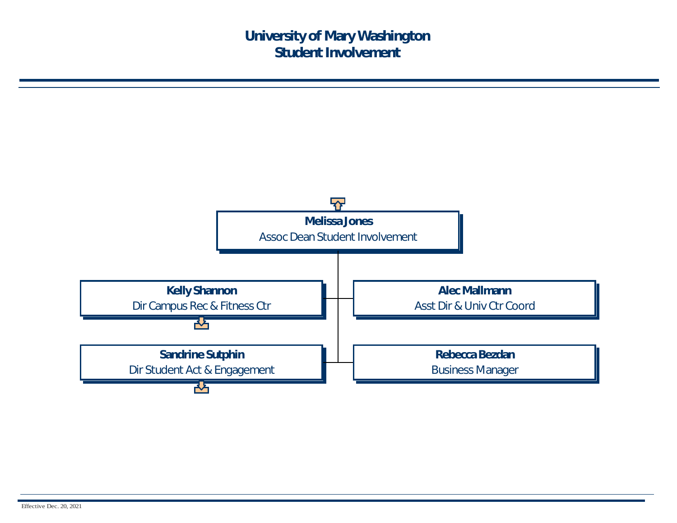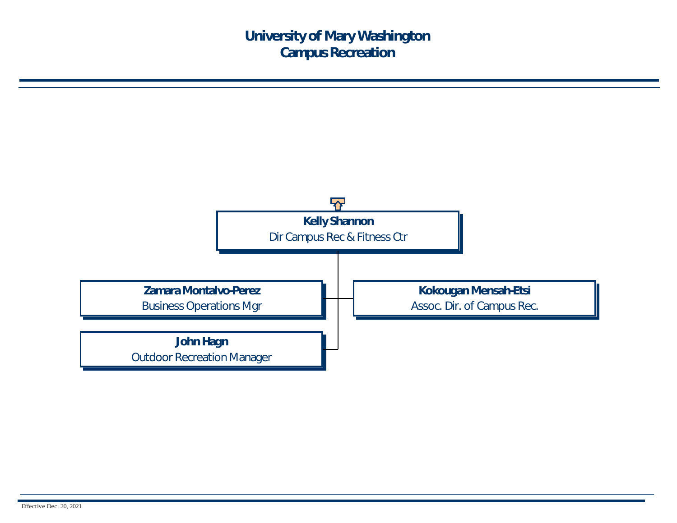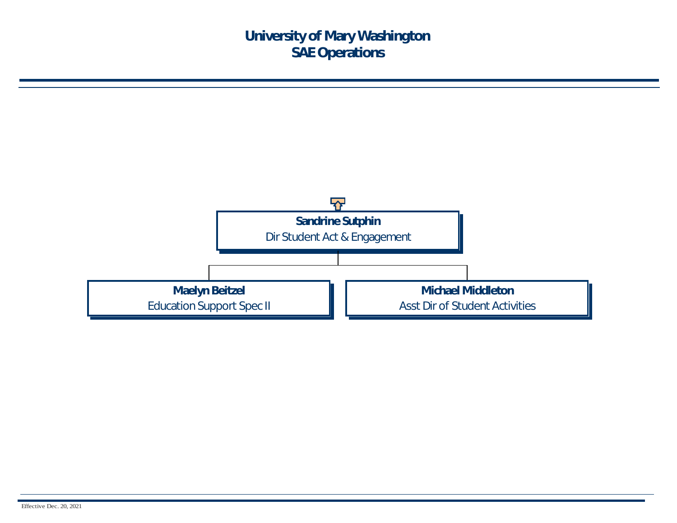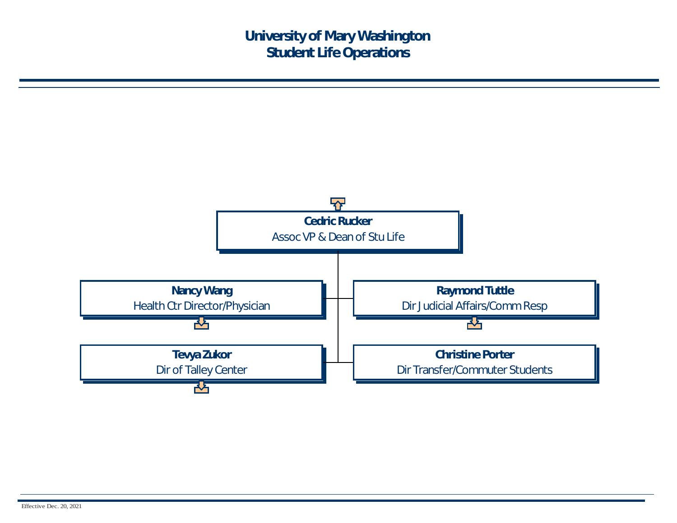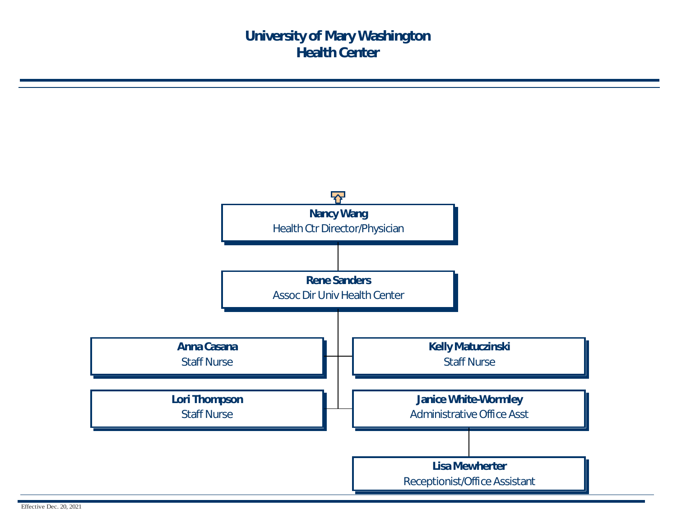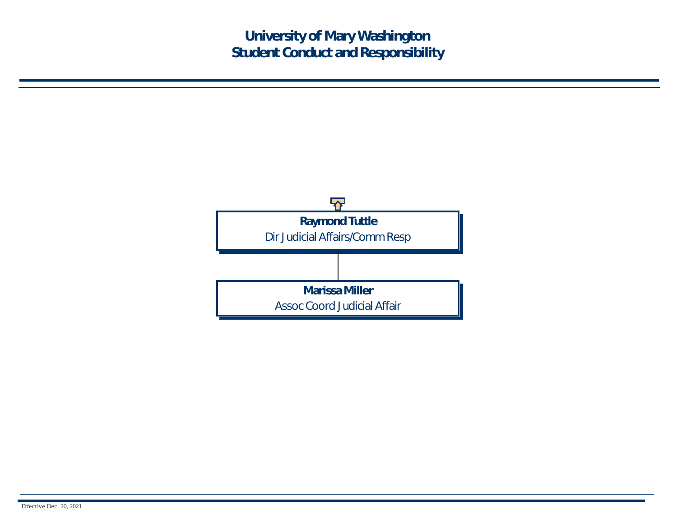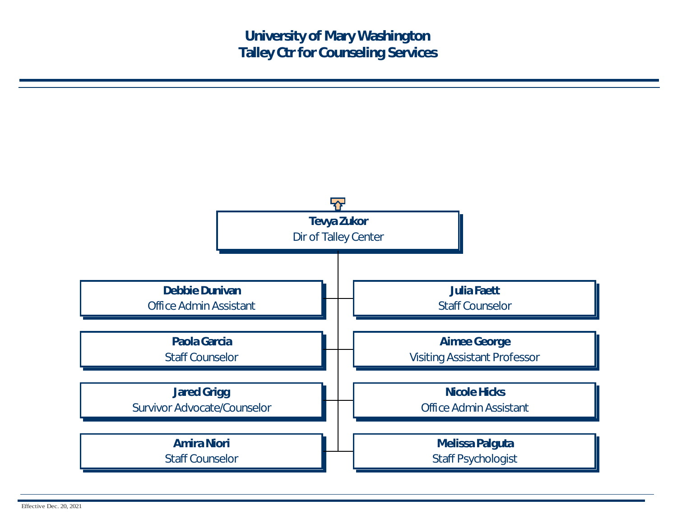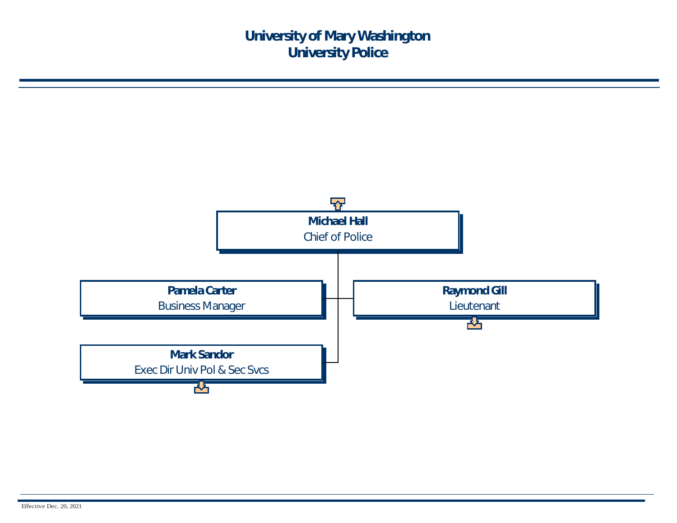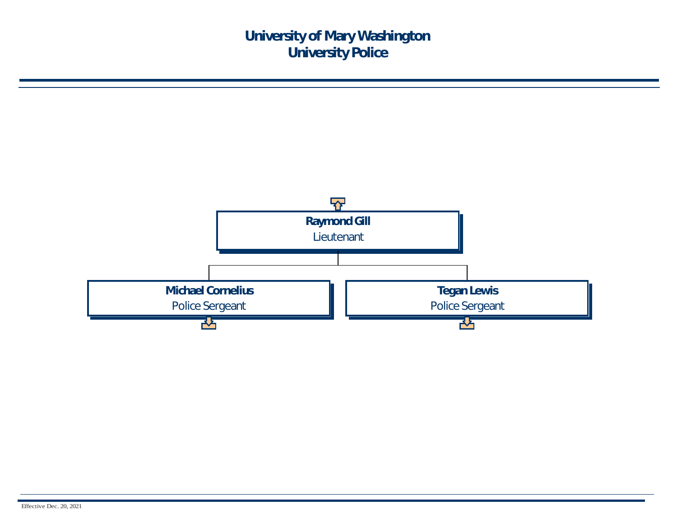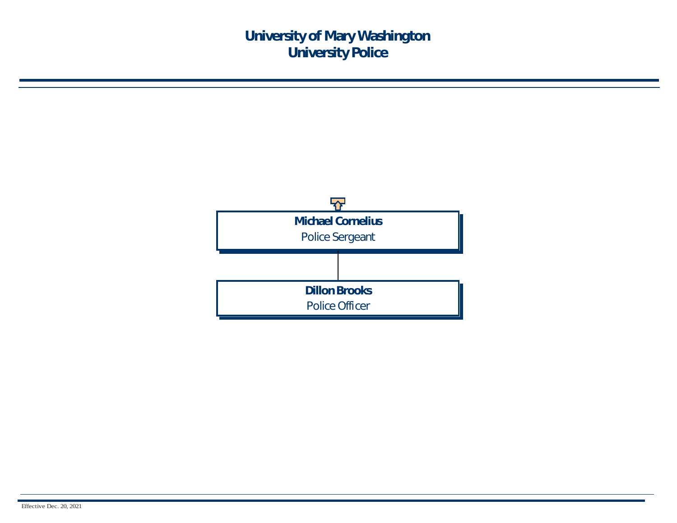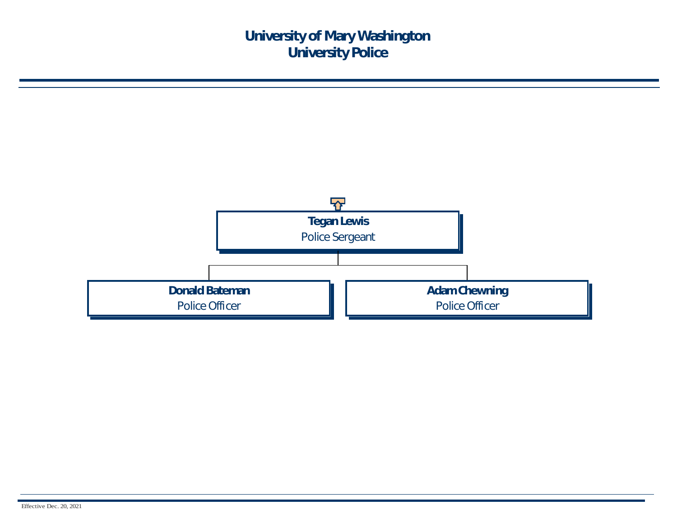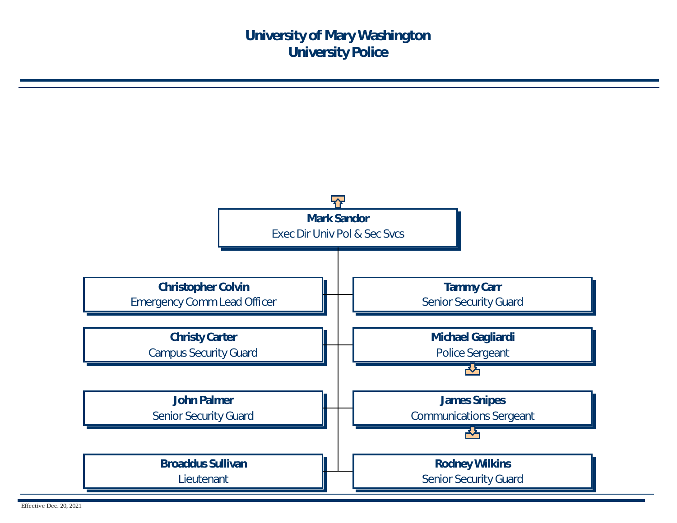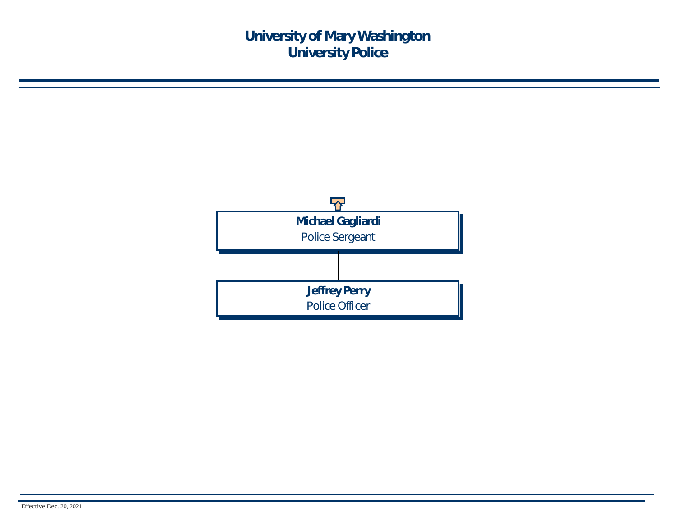